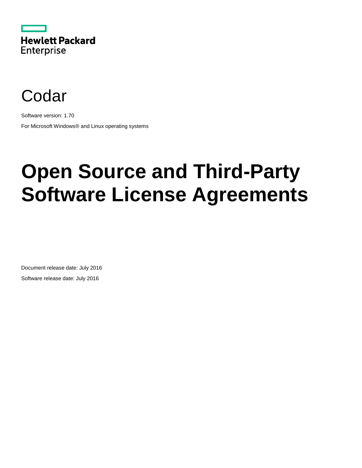



Software version: 1.70 For Microsoft Windows® and Linux operating systems

# **Open Source and Third-Party Software License Agreements**

Document release date: July 2016 Software release date: July 2016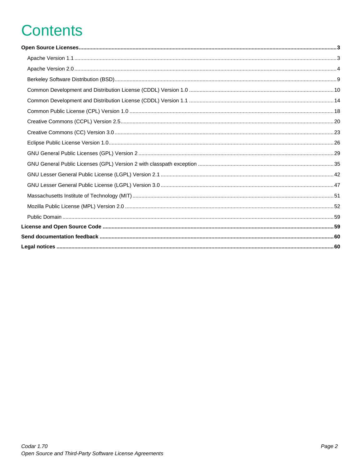# **Contents**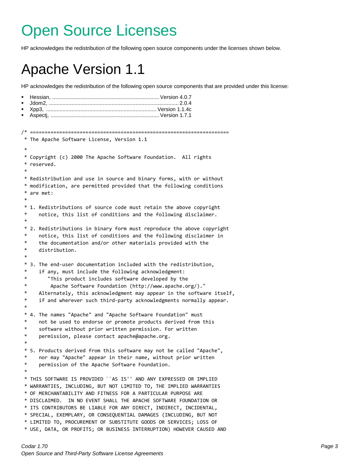# <span id="page-2-0"></span>Open Source Licenses

HP acknowledges the redistribution of the following open source components under the licenses shown below.

# <span id="page-2-1"></span>Apache Version 1.1

HP acknowledges the redistribution of the following open source components that are provided under this license:

 Hessian, ........................................................................Version 4.0.7 Jdom2, ....................................................................................... 2.0.4 Xpp3, .......................................................................... Version 1.1.4c Aspectj, .........................................................................Version 1.7.1 /\* ==================================================================== \* The Apache Software License, Version 1.1 \* \* Copyright (c) 2000 The Apache Software Foundation. All rights \* reserved. \* \* Redistribution and use in source and binary forms, with or without \* modification, are permitted provided that the following conditions \* are met: \* \* 1. Redistributions of source code must retain the above copyright notice, this list of conditions and the following disclaimer. \* \* 2. Redistributions in binary form must reproduce the above copyright \* notice, this list of conditions and the following disclaimer in \* the documentation and/or other materials provided with the distribution. \* \* 3. The end-user documentation included with the redistribution, if any, must include the following acknowledgment: \* "This product includes software developed by the \* Apache Software Foundation (http://www.apache.org/)." \* Alternately, this acknowledgment may appear in the software itself, \* if and wherever such third-party acknowledgments normally appear. \* \* 4. The names "Apache" and "Apache Software Foundation" must not be used to endorse or promote products derived from this software without prior written permission. For written permission, please contact apache@apache.org. \* \* 5. Products derived from this software may not be called "Apache", nor may "Apache" appear in their name, without prior written permission of the Apache Software Foundation. \* \* THIS SOFTWARE IS PROVIDED ``AS IS'' AND ANY EXPRESSED OR IMPLIED \* WARRANTIES, INCLUDING, BUT NOT LIMITED TO, THE IMPLIED WARRANTIES \* OF MERCHANTABILITY AND FITNESS FOR A PARTICULAR PURPOSE ARE \* DISCLAIMED. IN NO EVENT SHALL THE APACHE SOFTWARE FOUNDATION OR \* ITS CONTRIBUTORS BE LIABLE FOR ANY DIRECT, INDIRECT, INCIDENTAL, \* SPECIAL, EXEMPLARY, OR CONSEQUENTIAL DAMAGES (INCLUDING, BUT NOT \* LIMITED TO, PROCUREMENT OF SUBSTITUTE GOODS OR SERVICES; LOSS OF \* USE, DATA, OR PROFITS; OR BUSINESS INTERRUPTION) HOWEVER CAUSED AND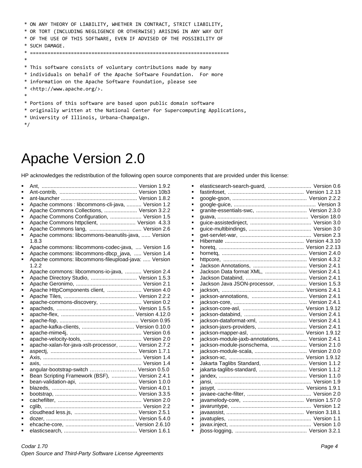```
* ON ANY THEORY OF LIABILITY, WHETHER IN CONTRACT, STRICT LIABILITY,
* OR TORT (INCLUDING NEGLIGENCE OR OTHERWISE) ARISING IN ANY WAY OUT
* OF THE USE OF THIS SOFTWARE, EVEN IF ADVISED OF THE POSSIBILITY OF
* SUCH DAMAGE.
* ====================================================================
*
* This software consists of voluntary contributions made by many
* individuals on behalf of the Apache Software Foundation. For more
* information on the Apache Software Foundation, please see
* <http://www.apache.org/>.
*
* Portions of this software are based upon public domain software
* originally written at the National Center for Supercomputing Applications,
* University of Illinois, Urbana-Champaign.
*/
```
### <span id="page-3-0"></span>Apache Version 2.0

HP acknowledges the redistribution of the following open source components that are provided under this license:

|        | Apache commons : libcommons-cli-java,  Version 1.2   |
|--------|------------------------------------------------------|
|        | Apache Commons Collections,  Version 3.2.2           |
| ■      | Apache Commons Configuration,  Version 1.5           |
| ■      | Apache Commons httpclient,  Version 4.3.3            |
|        |                                                      |
|        | Apache commons: libcommons-beanutils-java,  Version  |
|        | 1.8.3                                                |
|        | Apache commons: libcommons-codec-java,  Version 1.6  |
|        | Apache commons: libcommons-dbcp_java,  Version 1.4   |
|        | Apache commons: libcommons-fileupload-java:  Version |
|        | 1.2.2                                                |
|        | Apache commons: libcommons-io-java,  Version 2.4     |
|        | Apache Directory Studio,  Version 1.5.3              |
|        |                                                      |
| ■      | Apache HttpComponents client,  Version 4.0           |
| ■      |                                                      |
| Ξ      | apache-commons-discovery,  Version 0.2               |
|        |                                                      |
|        |                                                      |
|        |                                                      |
|        | apache-kafka-clients,  Version 0.10.0                |
|        |                                                      |
| ■      |                                                      |
|        | apache-xalan-for-java-xslt-processor,  Version 2.7.2 |
|        |                                                      |
|        |                                                      |
| ■      |                                                      |
| ■      | angular-bootstrap-switch  Version 0.5.0              |
| Ξ      | Bean Scripting Framework (BSF),  Version 2.4.1       |
|        |                                                      |
| Ξ      |                                                      |
| π      |                                                      |
|        |                                                      |
| ■<br>■ |                                                      |
|        |                                                      |
|        |                                                      |
|        |                                                      |
|        |                                                      |

| ■ cglib, ……………………………………………………… Version 2.2 ■ javaruntype, …………………………………………… Version 1. |  |        |
|----------------------------------------------------------------------------------------|--|--------|
|                                                                                        |  |        |
|                                                                                        |  |        |
|                                                                                        |  |        |
|                                                                                        |  |        |
|                                                                                        |  |        |
| Codar 1.70                                                                             |  | Page 4 |
| Open Course and Third Darty Coffware Lisenes Agreements                                |  |        |

|                | ients triat are provided under this license.    |  |
|----------------|-------------------------------------------------|--|
| Ξ              | elasticsearch-search-guard,  Version 0.6        |  |
|                |                                                 |  |
| п              |                                                 |  |
| Ξ              |                                                 |  |
|                | granite-essentials-swc,  Version 2.3.0          |  |
|                |                                                 |  |
|                |                                                 |  |
| $\blacksquare$ |                                                 |  |
| Ξ              |                                                 |  |
| $\blacksquare$ |                                                 |  |
| $\blacksquare$ |                                                 |  |
| ×              |                                                 |  |
| Ξ              |                                                 |  |
| Е              |                                                 |  |
| $\blacksquare$ | Jackson Data format XML,  Version 2.4.1         |  |
| $\blacksquare$ |                                                 |  |
| $\blacksquare$ | Jackson Java JSON-processor,  Version 1.5.3     |  |
| ٠              |                                                 |  |
|                |                                                 |  |
|                |                                                 |  |
| ×              |                                                 |  |
| Ξ              |                                                 |  |
| Ξ              | jackson-dataformat-xml,  Version 2.4.1          |  |
| Ξ              | .<br>jackson-jaxrs-providers,  Version 2.4.1    |  |
| ٠              |                                                 |  |
| Ξ              | jackson-module-jaxb-annotations,  Version 2.4.1 |  |
| Ξ              | jackson-module-jsonschema,  Version 2.1.0       |  |
| Ξ              |                                                 |  |
| Ξ              |                                                 |  |
| Ξ              | Jakarta Taglibs Standard,  Version 1.1.2        |  |
|                | jakarta-taglibs-standard,  Version 1.1.2        |  |
| Ξ              |                                                 |  |
|                |                                                 |  |
| Ξ              |                                                 |  |
| Ξ              |                                                 |  |
| Ξ              |                                                 |  |
| Ξ              |                                                 |  |
| $\blacksquare$ |                                                 |  |
| Ξ              |                                                 |  |
| Ξ              |                                                 |  |
|                |                                                 |  |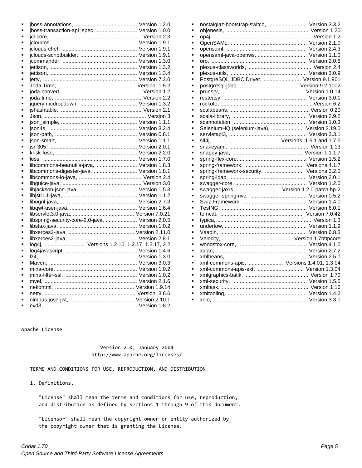| Version 2.0, January 2004<br>http://www.apache.org/licenses/                                                                             |
|------------------------------------------------------------------------------------------------------------------------------------------|
| TERMS AND CONDITIONS FOR USE, REPRODUCTION, AND DISTRIBUTION                                                                             |
| 1. Definitions.                                                                                                                          |
| "License" shall mean the terms and conditions for use, reproductio<br>and distribution as defined by Sections 1 through 9 of this docume |
| "Licensor" shall mean the copyright owner or entity authorized by<br>the copyright owner that is granting the License.                   |
| Codar 1.70<br>Open Source and Third-Party Software License Agreements                                                                    |
|                                                                                                                                          |
|                                                                                                                                          |
|                                                                                                                                          |

| jboss-transaction-api_spec,  Version 1.0.0       |  |
|--------------------------------------------------|--|
|                                                  |  |
|                                                  |  |
|                                                  |  |
|                                                  |  |
|                                                  |  |
|                                                  |  |
|                                                  |  |
|                                                  |  |
|                                                  |  |
|                                                  |  |
|                                                  |  |
|                                                  |  |
|                                                  |  |
|                                                  |  |
|                                                  |  |
|                                                  |  |
|                                                  |  |
|                                                  |  |
|                                                  |  |
|                                                  |  |
|                                                  |  |
|                                                  |  |
| libcommons-beanutils-java,  Version 1.8.3        |  |
| libcommons-digester-java,  Version 1.8.1         |  |
|                                                  |  |
|                                                  |  |
|                                                  |  |
|                                                  |  |
|                                                  |  |
|                                                  |  |
|                                                  |  |
| libspring-security-core-2.0-java,  Version 2.0.5 |  |
|                                                  |  |
|                                                  |  |
|                                                  |  |
|                                                  |  |
| log4j,  Versions 1.2.16, 1.2.17, 1.2.17, 2.2     |  |
|                                                  |  |
|                                                  |  |
|                                                  |  |
|                                                  |  |
|                                                  |  |
|                                                  |  |
|                                                  |  |
|                                                  |  |
|                                                  |  |
|                                                  |  |

| nostalgiaz-bootstrap-switch,  Version 3.3.2   |  |
|-----------------------------------------------|--|
|                                               |  |
|                                               |  |
|                                               |  |
|                                               |  |
| opensaml-java-openws,  Version 1.1.0          |  |
|                                               |  |
|                                               |  |
|                                               |  |
| .<br>PostgreSQL JDBC Driver,  Version 9.1.901 |  |
|                                               |  |
|                                               |  |
|                                               |  |
|                                               |  |
|                                               |  |
|                                               |  |
|                                               |  |
| SeleniumHQ (selenium-java),  Version 2.19.0   |  |
|                                               |  |
|                                               |  |
|                                               |  |
|                                               |  |
|                                               |  |
|                                               |  |
|                                               |  |
| spring-framework-security,  Versions 3.2.5    |  |
|                                               |  |
|                                               |  |
| swagger-jaxrs,  Version 1.2.0-patch.hp-2      |  |
|                                               |  |
|                                               |  |
|                                               |  |
|                                               |  |
|                                               |  |
|                                               |  |
|                                               |  |
|                                               |  |
|                                               |  |
|                                               |  |
|                                               |  |
| xml-commons-apis,  Versions 1.4.01, 1.3.04    |  |
| xml-commons-apis-ext,  Version 1.3.04         |  |
|                                               |  |
|                                               |  |
|                                               |  |
|                                               |  |
|                                               |  |
|                                               |  |

Apache License

ons for use, reproduction, through 9 of this document.

icense.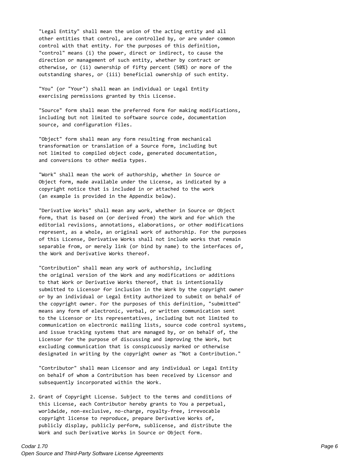"Legal Entity" shall mean the union of the acting entity and all other entities that control, are controlled by, or are under common control with that entity. For the purposes of this definition, "control" means (i) the power, direct or indirect, to cause the direction or management of such entity, whether by contract or otherwise, or (ii) ownership of fifty percent (50%) or more of the outstanding shares, or (iii) beneficial ownership of such entity.

 "You" (or "Your") shall mean an individual or Legal Entity exercising permissions granted by this License.

 "Source" form shall mean the preferred form for making modifications, including but not limited to software source code, documentation source, and configuration files.

 "Object" form shall mean any form resulting from mechanical transformation or translation of a Source form, including but not limited to compiled object code, generated documentation, and conversions to other media types.

 "Work" shall mean the work of authorship, whether in Source or Object form, made available under the License, as indicated by a copyright notice that is included in or attached to the work (an example is provided in the Appendix below).

 "Derivative Works" shall mean any work, whether in Source or Object form, that is based on (or derived from) the Work and for which the editorial revisions, annotations, elaborations, or other modifications represent, as a whole, an original work of authorship. For the purposes of this License, Derivative Works shall not include works that remain separable from, or merely link (or bind by name) to the interfaces of, the Work and Derivative Works thereof.

 "Contribution" shall mean any work of authorship, including the original version of the Work and any modifications or additions to that Work or Derivative Works thereof, that is intentionally submitted to Licensor for inclusion in the Work by the copyright owner or by an individual or Legal Entity authorized to submit on behalf of the copyright owner. For the purposes of this definition, "submitted" means any form of electronic, verbal, or written communication sent to the Licensor or its representatives, including but not limited to communication on electronic mailing lists, source code control systems, and issue tracking systems that are managed by, or on behalf of, the Licensor for the purpose of discussing and improving the Work, but excluding communication that is conspicuously marked or otherwise designated in writing by the copyright owner as "Not a Contribution."

 "Contributor" shall mean Licensor and any individual or Legal Entity on behalf of whom a Contribution has been received by Licensor and subsequently incorporated within the Work.

 2. Grant of Copyright License. Subject to the terms and conditions of this License, each Contributor hereby grants to You a perpetual, worldwide, non-exclusive, no-charge, royalty-free, irrevocable copyright license to reproduce, prepare Derivative Works of, publicly display, publicly perform, sublicense, and distribute the Work and such Derivative Works in Source or Object form.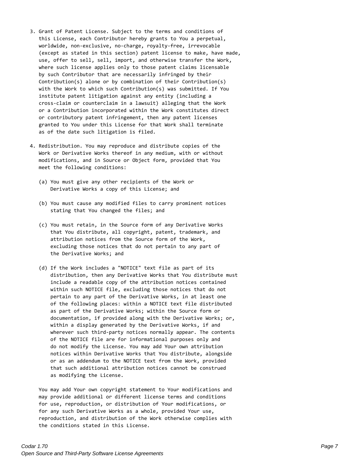- 3. Grant of Patent License. Subject to the terms and conditions of this License, each Contributor hereby grants to You a perpetual, worldwide, non-exclusive, no-charge, royalty-free, irrevocable (except as stated in this section) patent license to make, have made, use, offer to sell, sell, import, and otherwise transfer the Work, where such license applies only to those patent claims licensable by such Contributor that are necessarily infringed by their Contribution(s) alone or by combination of their Contribution(s) with the Work to which such Contribution(s) was submitted. If You institute patent litigation against any entity (including a cross-claim or counterclaim in a lawsuit) alleging that the Work or a Contribution incorporated within the Work constitutes direct or contributory patent infringement, then any patent licenses granted to You under this License for that Work shall terminate as of the date such litigation is filed.
- 4. Redistribution. You may reproduce and distribute copies of the Work or Derivative Works thereof in any medium, with or without modifications, and in Source or Object form, provided that You meet the following conditions:
	- (a) You must give any other recipients of the Work or Derivative Works a copy of this License; and
	- (b) You must cause any modified files to carry prominent notices stating that You changed the files; and
	- (c) You must retain, in the Source form of any Derivative Works that You distribute, all copyright, patent, trademark, and attribution notices from the Source form of the Work, excluding those notices that do not pertain to any part of the Derivative Works; and
	- (d) If the Work includes a "NOTICE" text file as part of its distribution, then any Derivative Works that You distribute must include a readable copy of the attribution notices contained within such NOTICE file, excluding those notices that do not pertain to any part of the Derivative Works, in at least one of the following places: within a NOTICE text file distributed as part of the Derivative Works; within the Source form or documentation, if provided along with the Derivative Works; or, within a display generated by the Derivative Works, if and wherever such third-party notices normally appear. The contents of the NOTICE file are for informational purposes only and do not modify the License. You may add Your own attribution notices within Derivative Works that You distribute, alongside or as an addendum to the NOTICE text from the Work, provided that such additional attribution notices cannot be construed as modifying the License.

 You may add Your own copyright statement to Your modifications and may provide additional or different license terms and conditions for use, reproduction, or distribution of Your modifications, or for any such Derivative Works as a whole, provided Your use, reproduction, and distribution of the Work otherwise complies with the conditions stated in this License.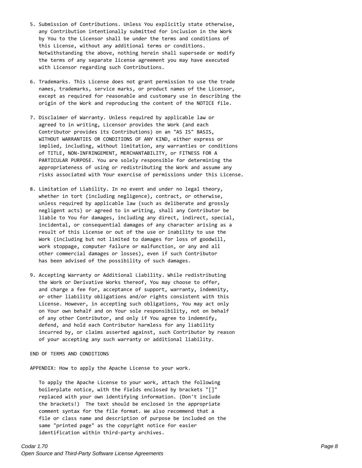- 5. Submission of Contributions. Unless You explicitly state otherwise, any Contribution intentionally submitted for inclusion in the Work by You to the Licensor shall be under the terms and conditions of this License, without any additional terms or conditions. Notwithstanding the above, nothing herein shall supersede or modify the terms of any separate license agreement you may have executed with Licensor regarding such Contributions.
- 6. Trademarks. This License does not grant permission to use the trade names, trademarks, service marks, or product names of the Licensor, except as required for reasonable and customary use in describing the origin of the Work and reproducing the content of the NOTICE file.
- 7. Disclaimer of Warranty. Unless required by applicable law or agreed to in writing, Licensor provides the Work (and each Contributor provides its Contributions) on an "AS IS" BASIS, WITHOUT WARRANTIES OR CONDITIONS OF ANY KIND, either express or implied, including, without limitation, any warranties or conditions of TITLE, NON-INFRINGEMENT, MERCHANTABILITY, or FITNESS FOR A PARTICULAR PURPOSE. You are solely responsible for determining the appropriateness of using or redistributing the Work and assume any risks associated with Your exercise of permissions under this License.
- 8. Limitation of Liability. In no event and under no legal theory, whether in tort (including negligence), contract, or otherwise, unless required by applicable law (such as deliberate and grossly negligent acts) or agreed to in writing, shall any Contributor be liable to You for damages, including any direct, indirect, special, incidental, or consequential damages of any character arising as a result of this License or out of the use or inability to use the Work (including but not limited to damages for loss of goodwill, work stoppage, computer failure or malfunction, or any and all other commercial damages or losses), even if such Contributor has been advised of the possibility of such damages.
- 9. Accepting Warranty or Additional Liability. While redistributing the Work or Derivative Works thereof, You may choose to offer, and charge a fee for, acceptance of support, warranty, indemnity, or other liability obligations and/or rights consistent with this License. However, in accepting such obligations, You may act only on Your own behalf and on Your sole responsibility, not on behalf of any other Contributor, and only if You agree to indemnify, defend, and hold each Contributor harmless for any liability incurred by, or claims asserted against, such Contributor by reason of your accepting any such warranty or additional liability.
- END OF TERMS AND CONDITIONS

APPENDIX: How to apply the Apache License to your work.

 To apply the Apache License to your work, attach the following boilerplate notice, with the fields enclosed by brackets "[]" replaced with your own identifying information. (Don't include the brackets!) The text should be enclosed in the appropriate comment syntax for the file format. We also recommend that a file or class name and description of purpose be included on the same "printed page" as the copyright notice for easier identification within third-party archives.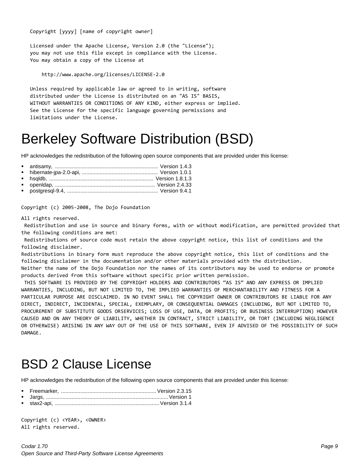Copyright [yyyy] [name of copyright owner]

 Licensed under the Apache License, Version 2.0 (the "License"); you may not use this file except in compliance with the License. You may obtain a copy of the License at

http://www.apache.org/licenses/LICENSE-2.0

 Unless required by applicable law or agreed to in writing, software distributed under the License is distributed on an "AS IS" BASIS, WITHOUT WARRANTIES OR CONDITIONS OF ANY KIND, either express or implied. See the License for the specific language governing permissions and limitations under the License.

### <span id="page-8-0"></span>Berkeley Software Distribution (BSD)

HP acknowledges the redistribution of the following open source components that are provided under this license:

|--|--|--|--|--|

- hibernate-jpa-2.0-api, ................................................... Version 1.0.1
- hsqldb, ...................................................................... Version 1.8.1.3
- openldap, ................................................................... Version 2.4.33
- postgresql-9.4, ............................................................. Version 9.4.1

Copyright (c) 2005-2008, The Dojo Foundation

All rights reserved.

Redistribution and use in source and binary forms, with or without modification, are permitted provided that the following conditions are met:

Redistributions of source code must retain the above copyright notice, this list of conditions and the following disclaimer.

Redistributions in binary form must reproduce the above copyright notice, this list of conditions and the following disclaimer in the documentation and/or other materials provided with the distribution.

Neither the name of the Dojo Foundation nor the names of its contributors may be used to endorse or promote products derived from this software without specific prior written permission.

THIS SOFTWARE IS PROVIDED BY THE COPYRIGHT HOLDERS AND CONTRIBUTORS "AS IS" AND ANY EXPRESS OR IMPLIED WARRANTIES, INCLUDING, BUT NOT LIMITED TO, THE IMPLIED WARRANTIES OF MERCHANTABILITY AND FITNESS FOR A PARTICULAR PURPOSE ARE DISCLAIMED. IN NO EVENT SHALL THE COPYRIGHT OWNER OR CONTRIBUTORS BE LIABLE FOR ANY DIRECT, INDIRECT, INCIDENTAL, SPECIAL, EXEMPLARY, OR CONSEQUENTIAL DAMAGES (INCLUDING, BUT NOT LIMITED TO, PROCUREMENT OF SUBSTITUTE GOODS ORSERVICES; LOSS OF USE, DATA, OR PROFITS; OR BUSINESS INTERRUPTION) HOWEVER CAUSED AND ON ANY THEORY OF LIABILITY, WHETHER IN CONTRACT, STRICT LIABILITY, OR TORT (INCLUDING NEGLIGENCE OR OTHERWISE) ARISING IN ANY WAY OUT OF THE USE OF THIS SOFTWARE, EVEN IF ADVISED OF THE POSSIBILITY OF SUCH DAMAGE.

### BSD 2 Clause License

HP acknowledges the redistribution of the following open source components that are provided under this license:

- Freemarker, ................................................................Version 2.3.15
- Jargs, ..................................................................................Version 1
- stax2-api, ......................................................................Version 3.1.4

Copyright (c) <YEAR>, <OWNER> All rights reserved.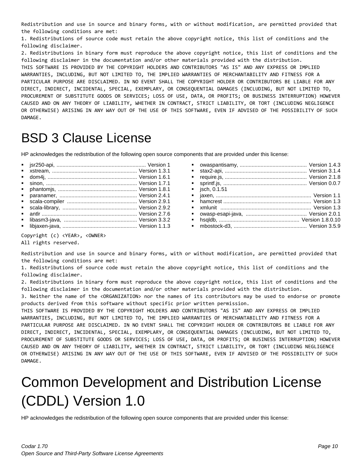Redistribution and use in source and binary forms, with or without modification, are permitted provided that the following conditions are met:

1. Redistributions of source code must retain the above copyright notice, this list of conditions and the following disclaimer.

2. Redistributions in binary form must reproduce the above copyright notice, this list of conditions and the following disclaimer in the documentation and/or other materials provided with the distribution. THIS SOFTWARE IS PROVIDED BY THE COPYRIGHT HOLDERS AND CONTRIBUTORS "AS IS" AND ANY EXPRESS OR IMPLIED WARRANTIES, INCLUDING, BUT NOT LIMITED TO, THE IMPLIED WARRANTIES OF MERCHANTABILITY AND FITNESS FOR A PARTICULAR PURPOSE ARE DISCLAIMED. IN NO EVENT SHALL THE COPYRIGHT HOLDER OR CONTRIBUTORS BE LIABLE FOR ANY DIRECT, INDIRECT, INCIDENTAL, SPECIAL, EXEMPLARY, OR CONSEQUENTIAL DAMAGES (INCLUDING, BUT NOT LIMITED TO, PROCUREMENT OF SUBSTITUTE GOODS OR SERVICES; LOSS OF USE, DATA, OR PROFITS; OR BUSINESS INTERRUPTION) HOWEVER CAUSED AND ON ANY THEORY OF LIABILITY, WHETHER IN CONTRACT, STRICT LIABILITY, OR TORT (INCLUDING NEGLIGENCE OR OTHERWISE) ARISING IN ANY WAY OUT OF THE USE OF THIS SOFTWARE, EVEN IF ADVISED OF THE POSSIBILITY OF SUCH DAMAGE.

> owaspantisamy, ............................................. Version 1.4.3 stax2-api, ....................................................... Version 3.1.4 require.js, ....................................................... Version 2.1.8 sprintf.js, ........................................................ Version 0.0.7

 jaxen, ................................................................ Version 1.1 hamcrest ........................................................... Version 1.3 xmlunit ............................................................. Version 1.3 owasp-esapi-java, ......................................... Version 2.0.1 hsqldb, ...................................................... Version 1.8.0.10 mbostock-d3, ................................................. Version 3.5.9

### BSD 3 Clause License

HP acknowledges the redistribution of the following open source components that are provided under this license:

- antlr ................................................................ Version 2.7.6
- libasm3-java, ................................................. Version 3.3.2 libjaxen-java, .................................................. Version 1.1.3
- 

Copyright (c) <YEAR>, <OWNER> All rights reserved.

Redistribution and use in source and binary forms, with or without modification, are permitted provided that the following conditions are met:

jsch, 0.1.51

1. Redistributions of source code must retain the above copyright notice, this list of conditions and the following disclaimer.

2. Redistributions in binary form must reproduce the above copyright notice, this list of conditions and the following disclaimer in the documentation and/or other materials provided with the distribution.

3. Neither the name of the <ORGANIZATION> nor the names of its contributors may be used to endorse or promote products derived from this software without specific prior written permission.

THIS SOFTWARE IS PROVIDED BY THE COPYRIGHT HOLDERS AND CONTRIBUTORS "AS IS" AND ANY EXPRESS OR IMPLIED WARRANTIES, INCLUDING, BUT NOT LIMITED TO, THE IMPLIED WARRANTIES OF MERCHANTABILITY AND FITNESS FOR A PARTICULAR PURPOSE ARE DISCLAIMED. IN NO EVENT SHALL THE COPYRIGHT HOLDER OR CONTRIBUTORS BE LIABLE FOR ANY DIRECT, INDIRECT, INCIDENTAL, SPECIAL, EXEMPLARY, OR CONSEQUENTIAL DAMAGES (INCLUDING, BUT NOT LIMITED TO, PROCUREMENT OF SUBSTITUTE GOODS OR SERVICES; LOSS OF USE, DATA, OR PROFITS; OR BUSINESS INTERRUPTION) HOWEVER CAUSED AND ON ANY THEORY OF LIABILITY, WHETHER IN CONTRACT, STRICT LIABILITY, OR TORT (INCLUDING NEGLIGENCE OR OTHERWISE) ARISING IN ANY WAY OUT OF THE USE OF THIS SOFTWARE, EVEN IF ADVISED OF THE POSSIBILITY OF SUCH DAMAGE.

# <span id="page-9-0"></span>Common Development and Distribution License (CDDL) Version 1.0

HP acknowledges the redistribution of the following open source components that are provided under this license: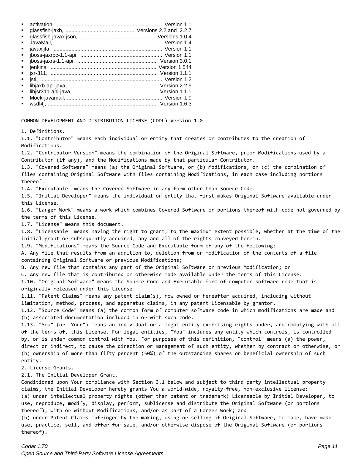| $\blacksquare$ |  |
|----------------|--|
| $\blacksquare$ |  |
| $\blacksquare$ |  |
|                |  |
|                |  |
|                |  |
|                |  |
|                |  |
|                |  |
|                |  |
| ٠              |  |
|                |  |
|                |  |

COMMON DEVELOPMENT AND DISTRIBUTION LICENSE (CDDL) Version 1.0

#### 1. Definitions.

1.1. "Contributor" means each individual or entity that creates or contributes to the creation of Modifications.

1.2. "Contributor Version" means the combination of the Original Software, prior Modifications used by a Contributor (if any), and the Modifications made by that particular Contributor.

1.3. "Covered Software" means (a) the Original Software, or (b) Modifications, or (c) the combination of files containing Original Software with files containing Modifications, in each case including portions thereof.

1.4. "Executable" means the Covered Software in any form other than Source Code.

1.5. "Initial Developer" means the individual or entity that first makes Original Software available under this License.

1.6. "Larger Work" means a work which combines Covered Software or portions thereof with code not governed by the terms of this License.

1.7. "License" means this document.

1.8. "Licensable" means having the right to grant, to the maximum extent possible, whether at the time of the initial grant or subsequently acquired, any and all of the rights conveyed herein.

1.9. "Modifications" means the Source Code and Executable form of any of the following:

A. Any file that results from an addition to, deletion from or modification of the contents of a file containing Original Software or previous Modifications;

B. Any new file that contains any part of the Original Software or previous Modification; or

C. Any new file that is contributed or otherwise made available under the terms of this License.

1.10. "Original Software" means the Source Code and Executable form of computer software code that is originally released under this License.

1.11. "Patent Claims" means any patent claim(s), now owned or hereafter acquired, including without limitation, method, process, and apparatus claims, in any patent Licensable by grantor.

1.12. "Source Code" means (a) the common form of computer software code in which modifications are made and (b) associated documentation included in or with such code.

1.13. "You" (or "Your") means an individual or a legal entity exercising rights under, and complying with all of the terms of, this License. For legal entities, "You" includes any entity which controls, is controlled by, or is under common control with You. For purposes of this definition, "control" means (a) the power, direct or indirect, to cause the direction or management of such entity, whether by contract or otherwise, or (b) ownership of more than fifty percent (50%) of the outstanding shares or beneficial ownership of such entity.

2. License Grants.

2.1. The Initial Developer Grant.

Conditioned upon Your compliance with Section 3.1 below and subject to third party intellectual property claims, the Initial Developer hereby grants You a world-wide, royalty-free, non-exclusive license: (a) under intellectual property rights (other than patent or trademark) Licensable by Initial Developer, to use, reproduce, modify, display, perform, sublicense and distribute the Original Software (or portions thereof), with or without Modifications, and/or as part of a Larger Work; and

(b) under Patent Claims infringed by the making, using or selling of Original Software, to make, have made, use, practice, sell, and offer for sale, and/or otherwise dispose of the Original Software (or portions thereof).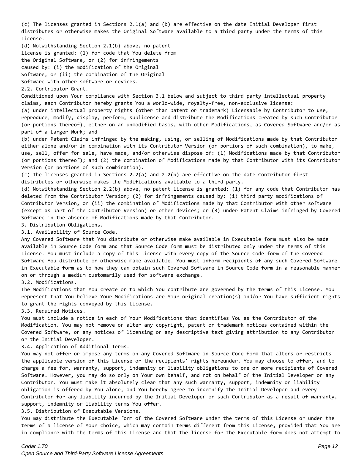(c) The licenses granted in Sections 2.1(a) and (b) are effective on the date Initial Developer first distributes or otherwise makes the Original Software available to a third party under the terms of this License. (d) Notwithstanding Section 2.1(b) above, no patent

license is granted: (1) for code that You delete from the Original Software, or (2) for infringements

caused by: (i) the modification of the Original

Software, or (ii) the combination of the Original

Software with other software or devices.

2.2. Contributor Grant.

Conditioned upon Your compliance with Section 3.1 below and subject to third party intellectual property claims, each Contributor hereby grants You a world-wide, royalty-free, non-exclusive license:

(a) under intellectual property rights (other than patent or trademark) Licensable by Contributor to use, reproduce, modify, display, perform, sublicense and distribute the Modifications created by such Contributor (or portions thereof), either on an unmodified basis, with other Modifications, as Covered Software and/or as part of a Larger Work; and

(b) under Patent Claims infringed by the making, using, or selling of Modifications made by that Contributor either alone and/or in combination with its Contributor Version (or portions of such combination), to make, use, sell, offer for sale, have made, and/or otherwise dispose of: (1) Modifications made by that Contributor (or portions thereof); and (2) the combination of Modifications made by that Contributor with its Contributor Version (or portions of such combination).

(c) The licenses granted in Sections 2.2(a) and 2.2(b) are effective on the date Contributor first distributes or otherwise makes the Modifications available to a third party.

(d) Notwithstanding Section 2.2(b) above, no patent license is granted: (1) for any code that Contributor has deleted from the Contributor Version; (2) for infringements caused by: (i) third party modifications of Contributor Version, or (ii) the combination of Modifications made by that Contributor with other software (except as part of the Contributor Version) or other devices; or (3) under Patent Claims infringed by Covered Software in the absence of Modifications made by that Contributor.

3. Distribution Obligations.

3.1. Availability of Source Code.

Any Covered Software that You distribute or otherwise make available in Executable form must also be made available in Source Code form and that Source Code form must be distributed only under the terms of this License. You must include a copy of this License with every copy of the Source Code form of the Covered Software You distribute or otherwise make available. You must inform recipients of any such Covered Software in Executable form as to how they can obtain such Covered Software in Source Code form in a reasonable manner on or through a medium customarily used for software exchange.

3.2. Modifications.

The Modifications that You create or to which You contribute are governed by the terms of this License. You represent that You believe Your Modifications are Your original creation(s) and/or You have sufficient rights to grant the rights conveyed by this License.

3.3. Required Notices.

You must include a notice in each of Your Modifications that identifies You as the Contributor of the Modification. You may not remove or alter any copyright, patent or trademark notices contained within the Covered Software, or any notices of licensing or any descriptive text giving attribution to any Contributor or the Initial Developer.

3.4. Application of Additional Terms.

You may not offer or impose any terms on any Covered Software in Source Code form that alters or restricts the applicable version of this License or the recipients' rights hereunder. You may choose to offer, and to charge a fee for, warranty, support, indemnity or liability obligations to one or more recipients of Covered Software. However, you may do so only on Your own behalf, and not on behalf of the Initial Developer or any Contributor. You must make it absolutely clear that any such warranty, support, indemnity or liability obligation is offered by You alone, and You hereby agree to indemnify the Initial Developer and every Contributor for any liability incurred by the Initial Developer or such Contributor as a result of warranty, support, indemnity or liability terms You offer.

3.5. Distribution of Executable Versions.

You may distribute the Executable form of the Covered Software under the terms of this License or under the terms of a license of Your choice, which may contain terms different from this License, provided that You are in compliance with the terms of this License and that the license for the Executable form does not attempt to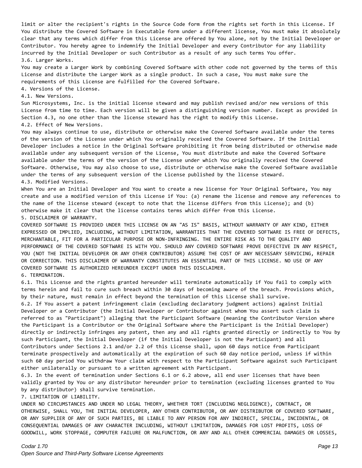limit or alter the recipient's rights in the Source Code form from the rights set forth in this License. If You distribute the Covered Software in Executable form under a different license, You must make it absolutely clear that any terms which differ from this License are offered by You alone, not by the Initial Developer or Contributor. You hereby agree to indemnify the Initial Developer and every Contributor for any liability incurred by the Initial Developer or such Contributor as a result of any such terms You offer. 3.6. Larger Works.

You may create a Larger Work by combining Covered Software with other code not governed by the terms of this License and distribute the Larger Work as a single product. In such a case, You must make sure the requirements of this License are fulfilled for the Covered Software.

4. Versions of the License.

4.1. New Versions.

Sun Microsystems, Inc. is the initial license steward and may publish revised and/or new versions of this License from time to time. Each version will be given a distinguishing version number. Except as provided in Section 4.3, no one other than the license steward has the right to modify this License. 4.2. Effect of New Versions.

You may always continue to use, distribute or otherwise make the Covered Software available under the terms of the version of the License under which You originally received the Covered Software. If the Initial Developer includes a notice in the Original Software prohibiting it from being distributed or otherwise made available under any subsequent version of the License, You must distribute and make the Covered Software available under the terms of the version of the License under which You originally received the Covered Software. Otherwise, You may also choose to use, distribute or otherwise make the Covered Software available under the terms of any subsequent version of the License published by the license steward. 4.3. Modified Versions.

When You are an Initial Developer and You want to create a new license for Your Original Software, You may create and use a modified version of this License if You: (a) rename the license and remove any references to the name of the license steward (except to note that the license differs from this License); and (b) otherwise make it clear that the license contains terms which differ from this License.

5. DISCLAIMER OF WARRANTY.

COVERED SOFTWARE IS PROVIDED UNDER THIS LICENSE ON AN "AS IS" BASIS, WITHOUT WARRANTY OF ANY KIND, EITHER EXPRESSED OR IMPLIED, INCLUDING, WITHOUT LIMITATION, WARRANTIES THAT THE COVERED SOFTWARE IS FREE OF DEFECTS, MERCHANTABLE, FIT FOR A PARTICULAR PURPOSE OR NON-INFRINGING. THE ENTIRE RISK AS TO THE QUALITY AND PERFORMANCE OF THE COVERED SOFTWARE IS WITH YOU. SHOULD ANY COVERED SOFTWARE PROVE DEFECTIVE IN ANY RESPECT, YOU (NOT THE INITIAL DEVELOPER OR ANY OTHER CONTRIBUTOR) ASSUME THE COST OF ANY NECESSARY SERVICING, REPAIR OR CORRECTION. THIS DISCLAIMER OF WARRANTY CONSTITUTES AN ESSENTIAL PART OF THIS LICENSE. NO USE OF ANY COVERED SOFTWARE IS AUTHORIZED HEREUNDER EXCEPT UNDER THIS DISCLAIMER. 6. TERMINATION.

6.1. This License and the rights granted hereunder will terminate automatically if You fail to comply with terms herein and fail to cure such breach within 30 days of becoming aware of the breach. Provisions which, by their nature, must remain in effect beyond the termination of this License shall survive. 6.2. If You assert a patent infringement claim (excluding declaratory judgment actions) against Initial Developer or a Contributor (the Initial Developer or Contributor against whom You assert such claim is referred to as "Participant") alleging that the Participant Software (meaning the Contributor Version where the Participant is a Contributor or the Original Software where the Participant is the Initial Developer) directly or indirectly infringes any patent, then any and all rights granted directly or indirectly to You by such Participant, the Initial Developer (if the Initial Developer is not the Participant) and all Contributors under Sections 2.1 and/or 2.2 of this License shall, upon 60 days notice from Participant terminate prospectively and automatically at the expiration of such 60 day notice period, unless if within such 60 day period You withdraw Your claim with respect to the Participant Software against such Participant either unilaterally or pursuant to a written agreement with Participant.

6.3. In the event of termination under Sections 6.1 or 6.2 above, all end user licenses that have been validly granted by You or any distributor hereunder prior to termination (excluding licenses granted to You by any distributor) shall survive termination.

7. LIMITATION OF LIABILITY.

UNDER NO CIRCUMSTANCES AND UNDER NO LEGAL THEORY, WHETHER TORT (INCLUDING NEGLIGENCE), CONTRACT, OR OTHERWISE, SHALL YOU, THE INITIAL DEVELOPER, ANY OTHER CONTRIBUTOR, OR ANY DISTRIBUTOR OF COVERED SOFTWARE, OR ANY SUPPLIER OF ANY OF SUCH PARTIES, BE LIABLE TO ANY PERSON FOR ANY INDIRECT, SPECIAL, INCIDENTAL, OR CONSEQUENTIAL DAMAGES OF ANY CHARACTER INCLUDING, WITHOUT LIMITATION, DAMAGES FOR LOST PROFITS, LOSS OF GOODWILL, WORK STOPPAGE, COMPUTER FAILURE OR MALFUNCTION, OR ANY AND ALL OTHER COMMERCIAL DAMAGES OR LOSSES,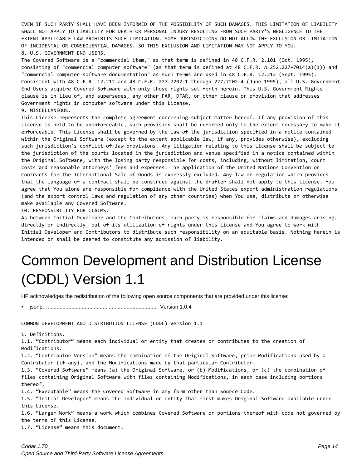EVEN IF SUCH PARTY SHALL HAVE BEEN INFORMED OF THE POSSIBILITY OF SUCH DAMAGES. THIS LIMITATION OF LIABILITY SHALL NOT APPLY TO LIABILITY FOR DEATH OR PERSONAL INJURY RESULTING FROM SUCH PARTY'S NEGLIGENCE TO THE EXTENT APPLICABLE LAW PROHIBITS SUCH LIMITATION. SOME JURISDICTIONS DO NOT ALLOW THE EXCLUSION OR LIMITATION OF INCIDENTAL OR CONSEQUENTIAL DAMAGES, SO THIS EXCLUSION AND LIMITATION MAY NOT APPLY TO YOU. 8. U.S. GOVERNMENT END USERS.

The Covered Software is a "commercial item," as that term is defined in 48 C.F.R. 2.101 (Oct. 1995), consisting of "commercial computer software" (as that term is defined at 48 C.F.R. ¤ 252.227-7014(a)(1)) and "commercial computer software documentation" as such terms are used in 48 C.F.R. 12.212 (Sept. 1995). Consistent with 48 C.F.R. 12.212 and 48 C.F.R. 227.7202-1 through 227.7202-4 (June 1995), all U.S. Government End Users acquire Covered Software with only those rights set forth herein. This U.S. Government Rights clause is in lieu of, and supersedes, any other FAR, DFAR, or other clause or provision that addresses Government rights in computer software under this License. 9. MISCELLANEOUS.

This License represents the complete agreement concerning subject matter hereof. If any provision of this License is held to be unenforceable, such provision shall be reformed only to the extent necessary to make it enforceable. This License shall be governed by the law of the jurisdiction specified in a notice contained within the Original Software (except to the extent applicable law, if any, provides otherwise), excluding such jurisdiction's conflict-of-law provisions. Any litigation relating to this License shall be subject to the jurisdiction of the courts located in the jurisdiction and venue specified in a notice contained within the Original Software, with the losing party responsible for costs, including, without limitation, court costs and reasonable attorneys' fees and expenses. The application of the United Nations Convention on Contracts for the International Sale of Goods is expressly excluded. Any law or regulation which provides that the language of a contract shall be construed against the drafter shall not apply to this License. You agree that You alone are responsible for compliance with the United States export administration regulations (and the export control laws and regulation of any other countries) when You use, distribute or otherwise make available any Covered Software.

10. RESPONSIBILITY FOR CLAIMS.

As between Initial Developer and the Contributors, each party is responsible for claims and damages arising, directly or indirectly, out of its utilization of rights under this License and You agree to work with Initial Developer and Contributors to distribute such responsibility on an equitable basis. Nothing herein is intended or shall be deemed to constitute any admission of liability.

# <span id="page-13-0"></span>Common Development and Distribution License (CDDL) Version 1.1

HP acknowledges the redistribution of the following open source components that are provided under this license:

jsonp, ........................................................................... Version 1.0.4

COMMON DEVELOPMENT AND DISTRIBUTION LICENSE (CDDL) Version 1.1

1. Definitions.

1.1. "Contributor" means each individual or entity that creates or contributes to the creation of Modifications.

1.2. "Contributor Version" means the combination of the Original Software, prior Modifications used by a Contributor (if any), and the Modifications made by that particular Contributor.

1.3. "Covered Software" means (a) the Original Software, or (b) Modifications, or (c) the combination of files containing Original Software with files containing Modifications, in each case including portions thereof.

1.4. "Executable" means the Covered Software in any form other than Source Code.

1.5. "Initial Developer" means the individual or entity that first makes Original Software available under this License.

1.6. "Larger Work" means a work which combines Covered Software or portions thereof with code not governed by the terms of this License.

1.7. "License" means this document.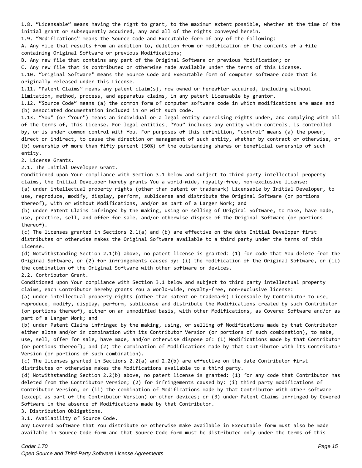1.8. "Licensable" means having the right to grant, to the maximum extent possible, whether at the time of the initial grant or subsequently acquired, any and all of the rights conveyed herein.

1.9. "Modifications" means the Source Code and Executable form of any of the following:

A. Any file that results from an addition to, deletion from or modification of the contents of a file containing Original Software or previous Modifications;

B. Any new file that contains any part of the Original Software or previous Modification; or

C. Any new file that is contributed or otherwise made available under the terms of this License. 1.10. "Original Software" means the Source Code and Executable form of computer software code that is originally released under this License.

1.11. "Patent Claims" means any patent claim(s), now owned or hereafter acquired, including without limitation, method, process, and apparatus claims, in any patent Licensable by grantor.

1.12. "Source Code" means (a) the common form of computer software code in which modifications are made and (b) associated documentation included in or with such code.

1.13. "You" (or "Your") means an individual or a legal entity exercising rights under, and complying with all of the terms of, this License. For legal entities, "You" includes any entity which controls, is controlled by, or is under common control with You. For purposes of this definition, "control" means (a) the power, direct or indirect, to cause the direction or management of such entity, whether by contract or otherwise, or (b) ownership of more than fifty percent (50%) of the outstanding shares or beneficial ownership of such entity.

2. License Grants.

2.1. The Initial Developer Grant.

Conditioned upon Your compliance with Section 3.1 below and subject to third party intellectual property claims, the Initial Developer hereby grants You a world-wide, royalty-free, non-exclusive license: (a) under intellectual property rights (other than patent or trademark) Licensable by Initial Developer, to use, reproduce, modify, display, perform, sublicense and distribute the Original Software (or portions thereof), with or without Modifications, and/or as part of a Larger Work; and

(b) under Patent Claims infringed by the making, using or selling of Original Software, to make, have made, use, practice, sell, and offer for sale, and/or otherwise dispose of the Original Software (or portions thereof).

(c) The licenses granted in Sections 2.1(a) and (b) are effective on the date Initial Developer first distributes or otherwise makes the Original Software available to a third party under the terms of this License.

(d) Notwithstanding Section 2.1(b) above, no patent license is granted: (1) for code that You delete from the Original Software, or (2) for infringements caused by: (i) the modification of the Original Software, or (ii) the combination of the Original Software with other software or devices.

2.2. Contributor Grant.

Conditioned upon Your compliance with Section 3.1 below and subject to third party intellectual property claims, each Contributor hereby grants You a world-wide, royalty-free, non-exclusive license:

(a) under intellectual property rights (other than patent or trademark) Licensable by Contributor to use, reproduce, modify, display, perform, sublicense and distribute the Modifications created by such Contributor (or portions thereof), either on an unmodified basis, with other Modifications, as Covered Software and/or as part of a Larger Work; and

(b) under Patent Claims infringed by the making, using, or selling of Modifications made by that Contributor either alone and/or in combination with its Contributor Version (or portions of such combination), to make, use, sell, offer for sale, have made, and/or otherwise dispose of: (1) Modifications made by that Contributor (or portions thereof); and (2) the combination of Modifications made by that Contributor with its Contributor Version (or portions of such combination).

(c) The licenses granted in Sections 2.2(a) and 2.2(b) are effective on the date Contributor first distributes or otherwise makes the Modifications available to a third party.

(d) Notwithstanding Section 2.2(b) above, no patent license is granted: (1) for any code that Contributor has deleted from the Contributor Version; (2) for infringements caused by: (i) third party modifications of Contributor Version, or (ii) the combination of Modifications made by that Contributor with other software (except as part of the Contributor Version) or other devices; or (3) under Patent Claims infringed by Covered Software in the absence of Modifications made by that Contributor.

3. Distribution Obligations.

3.1. Availability of Source Code.

Any Covered Software that You distribute or otherwise make available in Executable form must also be made available in Source Code form and that Source Code form must be distributed only under the terms of this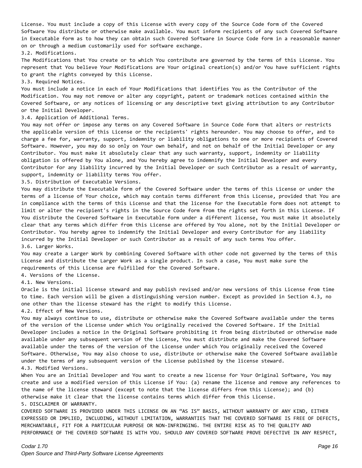License. You must include a copy of this License with every copy of the Source Code form of the Covered Software You distribute or otherwise make available. You must inform recipients of any such Covered Software in Executable form as to how they can obtain such Covered Software in Source Code form in a reasonable manner on or through a medium customarily used for software exchange.

#### 3.2. Modifications.

The Modifications that You create or to which You contribute are governed by the terms of this License. You represent that You believe Your Modifications are Your original creation(s) and/or You have sufficient rights to grant the rights conveyed by this License.

3.3. Required Notices.

You must include a notice in each of Your Modifications that identifies You as the Contributor of the Modification. You may not remove or alter any copyright, patent or trademark notices contained within the Covered Software, or any notices of licensing or any descriptive text giving attribution to any Contributor or the Initial Developer.

#### 3.4. Application of Additional Terms.

You may not offer or impose any terms on any Covered Software in Source Code form that alters or restricts the applicable version of this License or the recipients' rights hereunder. You may choose to offer, and to charge a fee for, warranty, support, indemnity or liability obligations to one or more recipients of Covered Software. However, you may do so only on Your own behalf, and not on behalf of the Initial Developer or any Contributor. You must make it absolutely clear that any such warranty, support, indemnity or liability obligation is offered by You alone, and You hereby agree to indemnify the Initial Developer and every Contributor for any liability incurred by the Initial Developer or such Contributor as a result of warranty, support, indemnity or liability terms You offer.

3.5. Distribution of Executable Versions.

You may distribute the Executable form of the Covered Software under the terms of this License or under the terms of a license of Your choice, which may contain terms different from this License, provided that You are in compliance with the terms of this License and that the license for the Executable form does not attempt to limit or alter the recipient's rights in the Source Code form from the rights set forth in this License. If You distribute the Covered Software in Executable form under a different license, You must make it absolutely clear that any terms which differ from this License are offered by You alone, not by the Initial Developer or Contributor. You hereby agree to indemnify the Initial Developer and every Contributor for any liability incurred by the Initial Developer or such Contributor as a result of any such terms You offer. 3.6. Larger Works.

You may create a Larger Work by combining Covered Software with other code not governed by the terms of this License and distribute the Larger Work as a single product. In such a case, You must make sure the requirements of this License are fulfilled for the Covered Software.

4. Versions of the License.

4.1. New Versions.

Oracle is the initial license steward and may publish revised and/or new versions of this License from time to time. Each version will be given a distinguishing version number. Except as provided in Section 4.3, no one other than the license steward has the right to modify this License.

4.2. Effect of New Versions.

You may always continue to use, distribute or otherwise make the Covered Software available under the terms of the version of the License under which You originally received the Covered Software. If the Initial Developer includes a notice in the Original Software prohibiting it from being distributed or otherwise made available under any subsequent version of the License, You must distribute and make the Covered Software available under the terms of the version of the License under which You originally received the Covered Software. Otherwise, You may also choose to use, distribute or otherwise make the Covered Software available under the terms of any subsequent version of the License published by the license steward. 4.3. Modified Versions.

When You are an Initial Developer and You want to create a new license for Your Original Software, You may create and use a modified version of this License if You: (a) rename the license and remove any references to the name of the license steward (except to note that the license differs from this License); and (b) otherwise make it clear that the license contains terms which differ from this License.

5. DISCLAIMER OF WARRANTY.

COVERED SOFTWARE IS PROVIDED UNDER THIS LICENSE ON AN "AS IS" BASIS, WITHOUT WARRANTY OF ANY KIND, EITHER EXPRESSED OR IMPLIED, INCLUDING, WITHOUT LIMITATION, WARRANTIES THAT THE COVERED SOFTWARE IS FREE OF DEFECTS, MERCHANTABLE, FIT FOR A PARTICULAR PURPOSE OR NON-INFRINGING. THE ENTIRE RISK AS TO THE QUALITY AND PERFORMANCE OF THE COVERED SOFTWARE IS WITH YOU. SHOULD ANY COVERED SOFTWARE PROVE DEFECTIVE IN ANY RESPECT,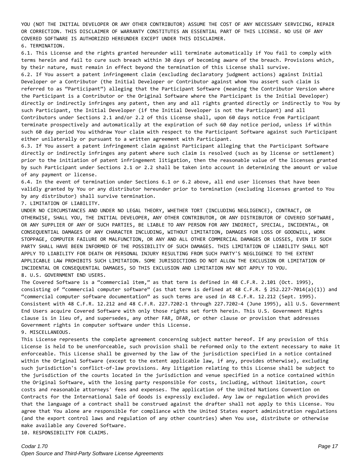YOU (NOT THE INITIAL DEVELOPER OR ANY OTHER CONTRIBUTOR) ASSUME THE COST OF ANY NECESSARY SERVICING, REPAIR OR CORRECTION. THIS DISCLAIMER OF WARRANTY CONSTITUTES AN ESSENTIAL PART OF THIS LICENSE. NO USE OF ANY COVERED SOFTWARE IS AUTHORIZED HEREUNDER EXCEPT UNDER THIS DISCLAIMER. 6. TERMINATION.

6.1. This License and the rights granted hereunder will terminate automatically if You fail to comply with terms herein and fail to cure such breach within 30 days of becoming aware of the breach. Provisions which, by their nature, must remain in effect beyond the termination of this License shall survive. 6.2. If You assert a patent infringement claim (excluding declaratory judgment actions) against Initial Developer or a Contributor (the Initial Developer or Contributor against whom You assert such claim is

referred to as "Participant") alleging that the Participant Software (meaning the Contributor Version where the Participant is a Contributor or the Original Software where the Participant is the Initial Developer) directly or indirectly infringes any patent, then any and all rights granted directly or indirectly to You by such Participant, the Initial Developer (if the Initial Developer is not the Participant) and all Contributors under Sections 2.1 and/or 2.2 of this License shall, upon 60 days notice from Participant terminate prospectively and automatically at the expiration of such 60 day notice period, unless if within such 60 day period You withdraw Your claim with respect to the Participant Software against such Participant either unilaterally or pursuant to a written agreement with Participant.

6.3. If You assert a patent infringement claim against Participant alleging that the Participant Software directly or indirectly infringes any patent where such claim is resolved (such as by license or settlement) prior to the initiation of patent infringement litigation, then the reasonable value of the licenses granted by such Participant under Sections 2.1 or 2.2 shall be taken into account in determining the amount or value of any payment or license.

6.4. In the event of termination under Sections 6.1 or 6.2 above, all end user licenses that have been validly granted by You or any distributor hereunder prior to termination (excluding licenses granted to You by any distributor) shall survive termination.

7. LIMITATION OF LIABILITY.

UNDER NO CIRCUMSTANCES AND UNDER NO LEGAL THEORY, WHETHER TORT (INCLUDING NEGLIGENCE), CONTRACT, OR OTHERWISE, SHALL YOU, THE INITIAL DEVELOPER, ANY OTHER CONTRIBUTOR, OR ANY DISTRIBUTOR OF COVERED SOFTWARE, OR ANY SUPPLIER OF ANY OF SUCH PARTIES, BE LIABLE TO ANY PERSON FOR ANY INDIRECT, SPECIAL, INCIDENTAL, OR CONSEQUENTIAL DAMAGES OF ANY CHARACTER INCLUDING, WITHOUT LIMITATION, DAMAGES FOR LOSS OF GOODWILL, WORK STOPPAGE, COMPUTER FAILURE OR MALFUNCTION, OR ANY AND ALL OTHER COMMERCIAL DAMAGES OR LOSSES, EVEN IF SUCH PARTY SHALL HAVE BEEN INFORMED OF THE POSSIBILITY OF SUCH DAMAGES. THIS LIMITATION OF LIABILITY SHALL NOT APPLY TO LIABILITY FOR DEATH OR PERSONAL INJURY RESULTING FROM SUCH PARTY'S NEGLIGENCE TO THE EXTENT APPLICABLE LAW PROHIBITS SUCH LIMITATION. SOME JURISDICTIONS DO NOT ALLOW THE EXCLUSION OR LIMITATION OF INCIDENTAL OR CONSEQUENTIAL DAMAGES, SO THIS EXCLUSION AND LIMITATION MAY NOT APPLY TO YOU. 8. U.S. GOVERNMENT END USERS.

The Covered Software is a "commercial item," as that term is defined in 48 C.F.R. 2.101 (Oct. 1995), consisting of "commercial computer software" (as that term is defined at 48 C.F.R. § 252.227-7014(a)(1)) and "commercial computer software documentation" as such terms are used in 48 C.F.R. 12.212 (Sept. 1995). Consistent with 48 C.F.R. 12.212 and 48 C.F.R. 227.7202-1 through 227.7202-4 (June 1995), all U.S. Government End Users acquire Covered Software with only those rights set forth herein. This U.S. Government Rights clause is in lieu of, and supersedes, any other FAR, DFAR, or other clause or provision that addresses Government rights in computer software under this License. 9. MISCELLANEOUS.

This License represents the complete agreement concerning subject matter hereof. If any provision of this License is held to be unenforceable, such provision shall be reformed only to the extent necessary to make it enforceable. This License shall be governed by the law of the jurisdiction specified in a notice contained within the Original Software (except to the extent applicable law, if any, provides otherwise), excluding such jurisdiction's conflict-of-law provisions. Any litigation relating to this License shall be subject to the jurisdiction of the courts located in the jurisdiction and venue specified in a notice contained within the Original Software, with the losing party responsible for costs, including, without limitation, court costs and reasonable attorneys' fees and expenses. The application of the United Nations Convention on Contracts for the International Sale of Goods is expressly excluded. Any law or regulation which provides that the language of a contract shall be construed against the drafter shall not apply to this License. You agree that You alone are responsible for compliance with the United States export administration regulations (and the export control laws and regulation of any other countries) when You use, distribute or otherwise make available any Covered Software.

10. RESPONSIBILITY FOR CLAIMS.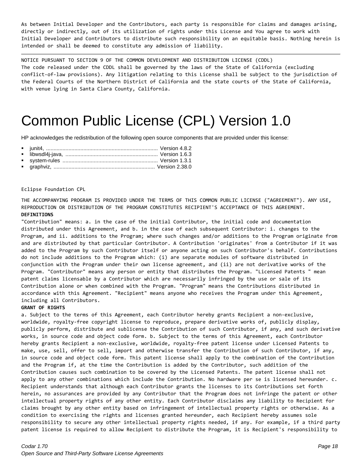As between Initial Developer and the Contributors, each party is responsible for claims and damages arising, directly or indirectly, out of its utilization of rights under this License and You agree to work with Initial Developer and Contributors to distribute such responsibility on an equitable basis. Nothing herein is intended or shall be deemed to constitute any admission of liability.

NOTICE PURSUANT TO SECTION 9 OF THE COMMON DEVELOPMENT AND DISTRIBUTION LICENSE (CDDL) The code released under the CDDL shall be governed by the laws of the State of California (excluding conflict-of-law provisions). Any litigation relating to this License shall be subject to the jurisdiction of the Federal Courts of the Northern District of California and the state courts of the State of California, with venue lying in Santa Clara County, California.

## <span id="page-17-0"></span>Common Public License (CPL) Version 1.0

HP acknowledges the redistribution of the following open source components that are provided under this license:

- junit4, ........................................................................... Version 4.8.2
- libwsdl4j-java, .............................................................. Version 1.6.3
- system-rules ................................................................ Version 1.3.1
- graphviz, .................................................................... Version 2.38.0

#### Eclipse Foundation CPL

THE ACCOMPANYING PROGRAM IS PROVIDED UNDER THE TERMS OF THIS COMMON PUBLIC LICENSE ("AGREEMENT"). ANY USE, REPRODUCTION OR DISTRIBUTION OF THE PROGRAM CONSTITUTES RECIPIENT'S ACCEPTANCE OF THIS AGREEMENT. **DEFINITIONS**

"Contribution" means: a. in the case of the initial Contributor, the initial code and documentation distributed under this Agreement, and b. in the case of each subsequent Contributor: i. changes to the Program, and ii. additions to the Program; where such changes and/or additions to the Program originate from and are distributed by that particular Contributor. A Contribution 'originates' from a Contributor if it was added to the Program by such Contributor itself or anyone acting on such Contributor's behalf. Contributions do not include additions to the Program which: (i) are separate modules of software distributed in conjunction with the Program under their own license agreement, and (ii) are not derivative works of the Program. "Contributor" means any person or entity that distributes the Program. "Licensed Patents " mean patent claims licensable by a Contributor which are necessarily infringed by the use or sale of its Contribution alone or when combined with the Program. "Program" means the Contributions distributed in accordance with this Agreement. "Recipient" means anyone who receives the Program under this Agreement, including all Contributors.

#### **GRANT OF RIGHTS**

a. Subject to the terms of this Agreement, each Contributor hereby grants Recipient a non-exclusive, worldwide, royalty-free copyright license to reproduce, prepare derivative works of, publicly display, publicly perform, distribute and sublicense the Contribution of such Contributor, if any, and such derivative works, in source code and object code form. b. Subject to the terms of this Agreement, each Contributor hereby grants Recipient a non-exclusive, worldwide, royalty-free patent license under Licensed Patents to make, use, sell, offer to sell, import and otherwise transfer the Contribution of such Contributor, if any, in source code and object code form. This patent license shall apply to the combination of the Contribution and the Program if, at the time the Contribution is added by the Contributor, such addition of the Contribution causes such combination to be covered by the Licensed Patents. The patent license shall not apply to any other combinations which include the Contribution. No hardware per se is licensed hereunder. c. Recipient understands that although each Contributor grants the licenses to its Contributions set forth herein, no assurances are provided by any Contributor that the Program does not infringe the patent or other intellectual property rights of any other entity. Each Contributor disclaims any liability to Recipient for claims brought by any other entity based on infringement of intellectual property rights or otherwise. As a condition to exercising the rights and licenses granted hereunder, each Recipient hereby assumes sole responsibility to secure any other intellectual property rights needed, if any. For example, if a third party patent license is required to allow Recipient to distribute the Program, it is Recipient's responsibility to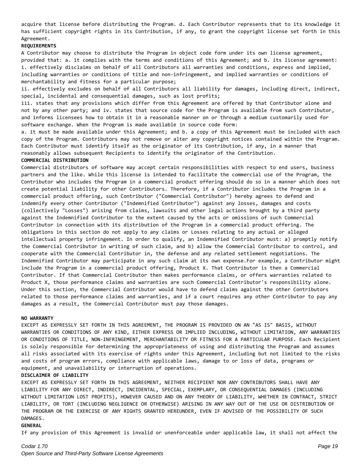acquire that license before distributing the Program. d. Each Contributor represents that to its knowledge it has sufficient copyright rights in its Contribution, if any, to grant the copyright license set forth in this Agreement.

#### **REQUIREMENTS**

A Contributor may choose to distribute the Program in object code form under its own license agreement, provided that: a. it complies with the terms and conditions of this Agreement; and b. its license agreement: i. effectively disclaims on behalf of all Contributors all warranties and conditions, express and implied, including warranties or conditions of title and non-infringement, and implied warranties or conditions of merchantability and fitness for a particular purpose;

ii. effectively excludes on behalf of all Contributors all liability for damages, including direct, indirect, special, incidental and consequential damages, such as lost profits;

iii. states that any provisions which differ from this Agreement are offered by that Contributor alone and not by any other party; and iv. states that source code for the Program is available from such Contributor, and informs licensees how to obtain it in a reasonable manner on or through a medium customarily used for software exchange. When the Program is made available in source code form:

a. it must be made available under this Agreement; and b. a copy of this Agreement must be included with each copy of the Program. Contributors may not remove or alter any copyright notices contained within the Program. Each Contributor must identify itself as the originator of its Contribution, if any, in a manner that reasonably allows subsequent Recipients to identify the originator of the Contribution.

#### **COMMERCIAL DISTRIBUTION**

Commercial distributors of software may accept certain responsibilities with respect to end users, business partners and the like. While this license is intended to facilitate the commercial use of the Program, the Contributor who includes the Program in a commercial product offering should do so in a manner which does not create potential liability for other Contributors. Therefore, if a Contributor includes the Program in a commercial product offering, such Contributor ("Commercial Contributor") hereby agrees to defend and indemnify every other Contributor ("Indemnified Contributor") against any losses, damages and costs (collectively "Losses") arising from claims, lawsuits and other legal actions brought by a third party against the Indemnified Contributor to the extent caused by the acts or omissions of such Commercial Contributor in connection with its distribution of the Program in a commercial product offering. The obligations in this section do not apply to any claims or Losses relating to any actual or alleged intellectual property infringement. In order to qualify, an Indemnified Contributor must: a) promptly notify the Commercial Contributor in writing of such claim, and b) allow the Commercial Contributor to control, and cooperate with the Commercial Contributor in, the defense and any related settlement negotiations. The Indemnified Contributor may participate in any such claim at its own expense.For example, a Contributor might include the Program in a commercial product offering, Product X. That Contributor is then a Commercial Contributor. If that Commercial Contributor then makes performance claims, or offers warranties related to Product X, those performance claims and warranties are such Commercial Contributor's responsibility alone. Under this section, the Commercial Contributor would have to defend claims against the other Contributors related to those performance claims and warranties, and if a court requires any other Contributor to pay any damages as a result, the Commercial Contributor must pay those damages.

#### **NO WARRANTY**

EXCEPT AS EXPRESSLY SET FORTH IN THIS AGREEMENT, THE PROGRAM IS PROVIDED ON AN "AS IS" BASIS, WITHOUT WARRANTIES OR CONDITIONS OF ANY KIND, EITHER EXPRESS OR IMPLIED INCLUDING, WITHOUT LIMITATION, ANY WARRANTIES OR CONDITIONS OF TITLE, NON-INFRINGEMENT, MERCHANTABILITY OR FITNESS FOR A PARTICULAR PURPOSE. Each Recipient is solely responsible for determining the appropriateness of using and distributing the Program and assumes all risks associated with its exercise of rights under this Agreement, including but not limited to the risks and costs of program errors, compliance with applicable laws, damage to or loss of data, programs or equipment, and unavailability or interruption of operations.

#### **DISCLAIMER OF LIABILITY**

EXCEPT AS EXPRESSLY SET FORTH IN THIS AGREEMENT, NEITHER RECIPIENT NOR ANY CONTRIBUTORS SHALL HAVE ANY LIABILITY FOR ANY DIRECT, INDIRECT, INCIDENTAL, SPECIAL, EXEMPLARY, OR CONSEQUENTIAL DAMAGES (INCLUDING WITHOUT LIMITATION LOST PROFITS), HOWEVER CAUSED AND ON ANY THEORY OF LIABILITY, WHETHER IN CONTRACT, STRICT LIABILITY, OR TORT (INCLUDING NEGLIGENCE OR OTHERWISE) ARISING IN ANY WAY OUT OF THE USE OR DISTRIBUTION OF THE PROGRAM OR THE EXERCISE OF ANY RIGHTS GRANTED HEREUNDER, EVEN IF ADVISED OF THE POSSIBILITY OF SUCH DAMAGES.

#### **GENERAL**

If any provision of this Agreement is invalid or unenforceable under applicable law, it shall not affect the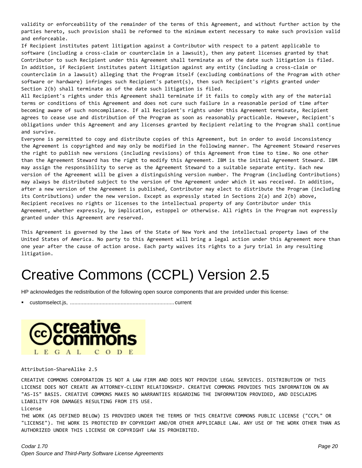validity or enforceability of the remainder of the terms of this Agreement, and without further action by the parties hereto, such provision shall be reformed to the minimum extent necessary to make such provision valid and enforceable.

If Recipient institutes patent litigation against a Contributor with respect to a patent applicable to software (including a cross-claim or counterclaim in a lawsuit), then any patent licenses granted by that Contributor to such Recipient under this Agreement shall terminate as of the date such litigation is filed. In addition, if Recipient institutes patent litigation against any entity (including a cross-claim or counterclaim in a lawsuit) alleging that the Program itself (excluding combinations of the Program with other software or hardware) infringes such Recipient's patent(s), then such Recipient's rights granted under Section 2(b) shall terminate as of the date such litigation is filed.

All Recipient's rights under this Agreement shall terminate if it fails to comply with any of the material terms or conditions of this Agreement and does not cure such failure in a reasonable period of time after becoming aware of such noncompliance. If all Recipient's rights under this Agreement terminate, Recipient agrees to cease use and distribution of the Program as soon as reasonably practicable. However, Recipient's obligations under this Agreement and any licenses granted by Recipient relating to the Program shall continue and survive.

Everyone is permitted to copy and distribute copies of this Agreement, but in order to avoid inconsistency the Agreement is copyrighted and may only be modified in the following manner. The Agreement Steward reserves the right to publish new versions (including revisions) of this Agreement from time to time. No one other than the Agreement Steward has the right to modify this Agreement. IBM is the initial Agreement Steward. IBM may assign the responsibility to serve as the Agreement Steward to a suitable separate entity. Each new version of the Agreement will be given a distinguishing version number. The Program (including Contributions) may always be distributed subject to the version of the Agreement under which it was received. In addition, after a new version of the Agreement is published, Contributor may elect to distribute the Program (including its Contributions) under the new version. Except as expressly stated in Sections 2(a) and 2(b) above, Recipient receives no rights or licenses to the intellectual property of any Contributor under this Agreement, whether expressly, by implication, estoppel or otherwise. All rights in the Program not expressly granted under this Agreement are reserved.

This Agreement is governed by the laws of the State of New York and the intellectual property laws of the United States of America. No party to this Agreement will bring a legal action under this Agreement more than one year after the cause of action arose. Each party waives its rights to a jury trial in any resulting litigation.

# <span id="page-19-0"></span>Creative Commons (CCPL) Version 2.5

HP acknowledges the redistribution of the following open source components that are provided under this license:

customselect.js, ...................................................................... current



#### Attribution-ShareAlike 2.5

CREATIVE COMMONS CORPORATION IS NOT A LAW FIRM AND DOES NOT PROVIDE LEGAL SERVICES. DISTRIBUTION OF THIS LICENSE DOES NOT CREATE AN ATTORNEY-CLIENT RELATIONSHIP. CREATIVE COMMONS PROVIDES THIS INFORMATION ON AN "AS-IS" BASIS. CREATIVE COMMONS MAKES NO WARRANTIES REGARDING THE INFORMATION PROVIDED, AND DISCLAIMS LIABILITY FOR DAMAGES RESULTING FROM ITS USE. License

THE WORK (AS DEFINED BELOW) IS PROVIDED UNDER THE TERMS OF THIS CREATIVE COMMONS PUBLIC LICENSE ("CCPL" OR "LICENSE"). THE WORK IS PROTECTED BY COPYRIGHT AND/OR OTHER APPLICABLE LAW. ANY USE OF THE WORK OTHER THAN AS AUTHORIZED UNDER THIS LICENSE OR COPYRIGHT LAW IS PROHIBITED.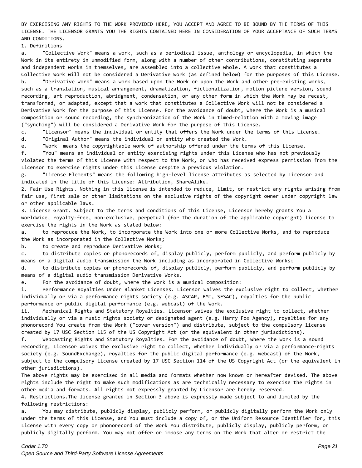BY EXERCISING ANY RIGHTS TO THE WORK PROVIDED HERE, YOU ACCEPT AND AGREE TO BE BOUND BY THE TERMS OF THIS LICENSE. THE LICENSOR GRANTS YOU THE RIGHTS CONTAINED HERE IN CONSIDERATION OF YOUR ACCEPTANCE OF SUCH TERMS AND CONDITIONS.

1. Definitions

a. "Collective Work" means a work, such as a periodical issue, anthology or encyclopedia, in which the Work in its entirety in unmodified form, along with a number of other contributions, constituting separate and independent works in themselves, are assembled into a collective whole. A work that constitutes a Collective Work will not be considered a Derivative Work (as defined below) for the purposes of this License. b. "Derivative Work" means a work based upon the Work or upon the Work and other pre-existing works, such as a translation, musical arrangement, dramatization, fictionalization, motion picture version, sound recording, art reproduction, abridgment, condensation, or any other form in which the Work may be recast, transformed, or adapted, except that a work that constitutes a Collective Work will not be considered a Derivative Work for the purpose of this License. For the avoidance of doubt, where the Work is a musical composition or sound recording, the synchronization of the Work in timed-relation with a moving image

("synching") will be considered a Derivative Work for the purpose of this License.

c. "Licensor" means the individual or entity that offers the Work under the terms of this License. d. "Original Author" means the individual or entity who created the Work.

e. "Work" means the copyrightable work of authorship offered under the terms of this License.

f. "You" means an individual or entity exercising rights under this License who has not previously violated the terms of this License with respect to the Work, or who has received express permission from the Licensor to exercise rights under this License despite a previous violation.

g. "License Elements" means the following high-level license attributes as selected by Licensor and indicated in the title of this License: Attribution, ShareAlike.

2. Fair Use Rights. Nothing in this license is intended to reduce, limit, or restrict any rights arising from fair use, first sale or other limitations on the exclusive rights of the copyright owner under copyright law or other applicable laws.

3. License Grant. Subject to the terms and conditions of this License, Licensor hereby grants You a worldwide, royalty-free, non-exclusive, perpetual (for the duration of the applicable copyright) license to exercise the rights in the Work as stated below:

a. to reproduce the Work, to incorporate the Work into one or more Collective Works, and to reproduce the Work as incorporated in the Collective Works;

b. to create and reproduce Derivative Works;

c. to distribute copies or phonorecords of, display publicly, perform publicly, and perform publicly by means of a digital audio transmission the Work including as incorporated in Collective Works;

d. to distribute copies or phonorecords of, display publicly, perform publicly, and perform publicly by means of a digital audio transmission Derivative Works.

e. For the avoidance of doubt, where the work is a musical composition:

i. Performance Royalties Under Blanket Licenses. Licensor waives the exclusive right to collect, whether individually or via a performance rights society (e.g. ASCAP, BMI, SESAC), royalties for the public performance or public digital performance (e.g. webcast) of the Work.

ii. Mechanical Rights and Statutory Royalties. Licensor waives the exclusive right to collect, whether individually or via a music rights society or designated agent (e.g. Harry Fox Agency), royalties for any phonorecord You create from the Work ("cover version") and distribute, subject to the compulsory license created by 17 USC Section 115 of the US Copyright Act (or the equivalent in other jurisdictions).

f. Webcasting Rights and Statutory Royalties. For the avoidance of doubt, where the Work is a sound recording, Licensor waives the exclusive right to collect, whether individually or via a performance-rights society (e.g. SoundExchange), royalties for the public digital performance (e.g. webcast) of the Work, subject to the compulsory license created by 17 USC Section 114 of the US Copyright Act (or the equivalent in other jurisdictions).

The above rights may be exercised in all media and formats whether now known or hereafter devised. The above rights include the right to make such modifications as are technically necessary to exercise the rights in other media and formats. All rights not expressly granted by Licensor are hereby reserved.

4. Restrictions.The license granted in Section 3 above is expressly made subject to and limited by the following restrictions:

a. You may distribute, publicly display, publicly perform, or publicly digitally perform the Work only under the terms of this License, and You must include a copy of, or the Uniform Resource Identifier for, this License with every copy or phonorecord of the Work You distribute, publicly display, publicly perform, or publicly digitally perform. You may not offer or impose any terms on the Work that alter or restrict the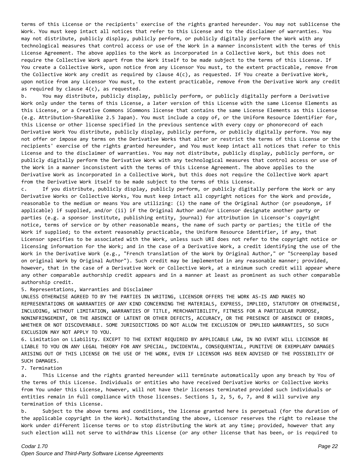terms of this License or the recipients' exercise of the rights granted hereunder. You may not sublicense the Work. You must keep intact all notices that refer to this License and to the disclaimer of warranties. You may not distribute, publicly display, publicly perform, or publicly digitally perform the Work with any technological measures that control access or use of the Work in a manner inconsistent with the terms of this License Agreement. The above applies to the Work as incorporated in a Collective Work, but this does not require the Collective Work apart from the Work itself to be made subject to the terms of this License. If You create a Collective Work, upon notice from any Licensor You must, to the extent practicable, remove from the Collective Work any credit as required by clause 4(c), as requested. If You create a Derivative Work, upon notice from any Licensor You must, to the extent practicable, remove from the Derivative Work any credit as required by clause  $4(c)$ , as requested.

b. You may distribute, publicly display, publicly perform, or publicly digitally perform a Derivative Work only under the terms of this License, a later version of this License with the same License Elements as this License, or a Creative Commons iCommons license that contains the same License Elements as this License (e.g. Attribution-ShareAlike 2.5 Japan). You must include a copy of, or the Uniform Resource Identifier for, this License or other license specified in the previous sentence with every copy or phonorecord of each Derivative Work You distribute, publicly display, publicly perform, or publicly digitally perform. You may not offer or impose any terms on the Derivative Works that alter or restrict the terms of this License or the recipients' exercise of the rights granted hereunder, and You must keep intact all notices that refer to this License and to the disclaimer of warranties. You may not distribute, publicly display, publicly perform, or publicly digitally perform the Derivative Work with any technological measures that control access or use of the Work in a manner inconsistent with the terms of this License Agreement. The above applies to the Derivative Work as incorporated in a Collective Work, but this does not require the Collective Work apart from the Derivative Work itself to be made subject to the terms of this License.

c. If you distribute, publicly display, publicly perform, or publicly digitally perform the Work or any Derivative Works or Collective Works, You must keep intact all copyright notices for the Work and provide, reasonable to the medium or means You are utilizing: (i) the name of the Original Author (or pseudonym, if applicable) if supplied, and/or (ii) if the Original Author and/or Licensor designate another party or parties (e.g. a sponsor institute, publishing entity, journal) for attribution in Licensor's copyright notice, terms of service or by other reasonable means, the name of such party or parties; the title of the Work if supplied; to the extent reasonably practicable, the Uniform Resource Identifier, if any, that Licensor specifies to be associated with the Work, unless such URI does not refer to the copyright notice or licensing information for the Work; and in the case of a Derivative Work, a credit identifying the use of the Work in the Derivative Work (e.g., "French translation of the Work by Original Author," or "Screenplay based on original Work by Original Author"). Such credit may be implemented in any reasonable manner; provided, however, that in the case of a Derivative Work or Collective Work, at a minimum such credit will appear where any other comparable authorship credit appears and in a manner at least as prominent as such other comparable authorship credit.

#### 5. Representations, Warranties and Disclaimer

UNLESS OTHERWISE AGREED TO BY THE PARTIES IN WRITING, LICENSOR OFFERS THE WORK AS-IS AND MAKES NO REPRESENTATIONS OR WARRANTIES OF ANY KIND CONCERNING THE MATERIALS, EXPRESS, IMPLIED, STATUTORY OR OTHERWISE, INCLUDING, WITHOUT LIMITATION, WARRANTIES OF TITLE, MERCHANTIBILITY, FITNESS FOR A PARTICULAR PURPOSE, NONINFRINGEMENT, OR THE ABSENCE OF LATENT OR OTHER DEFECTS, ACCURACY, OR THE PRESENCE OF ABSENCE OF ERRORS, WHETHER OR NOT DISCOVERABLE. SOME JURISDICTIONS DO NOT ALLOW THE EXCLUSION OF IMPLIED WARRANTIES, SO SUCH EXCLUSION MAY NOT APPLY TO YOU.

6. Limitation on Liability. EXCEPT TO THE EXTENT REQUIRED BY APPLICABLE LAW, IN NO EVENT WILL LICENSOR BE LIABLE TO YOU ON ANY LEGAL THEORY FOR ANY SPECIAL, INCIDENTAL, CONSEQUENTIAL, PUNITIVE OR EXEMPLARY DAMAGES ARISING OUT OF THIS LICENSE OR THE USE OF THE WORK, EVEN IF LICENSOR HAS BEEN ADVISED OF THE POSSIBILITY OF SUCH DAMAGES.

#### 7. Termination

a. This License and the rights granted hereunder will terminate automatically upon any breach by You of the terms of this License. Individuals or entities who have received Derivative Works or Collective Works from You under this License, however, will not have their licenses terminated provided such individuals or entities remain in full compliance with those licenses. Sections 1, 2, 5, 6, 7, and 8 will survive any termination of this License.

b. Subject to the above terms and conditions, the license granted here is perpetual (for the duration of the applicable copyright in the Work). Notwithstanding the above, Licensor reserves the right to release the Work under different license terms or to stop distributing the Work at any time; provided, however that any such election will not serve to withdraw this License (or any other license that has been, or is required to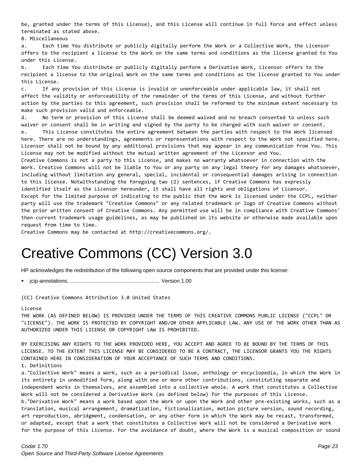be, granted under the terms of this License), and this License will continue in full force and effect unless terminated as stated above.

8. Miscellaneous

a. Each time You distribute or publicly digitally perform the Work or a Collective Work, the Licensor offers to the recipient a license to the Work on the same terms and conditions as the license granted to You under this License.

b. Each time You distribute or publicly digitally perform a Derivative Work, Licensor offers to the recipient a license to the original Work on the same terms and conditions as the license granted to You under this License.

c. If any provision of this License is invalid or unenforceable under applicable law, it shall not affect the validity or enforceability of the remainder of the terms of this License, and without further action by the parties to this agreement, such provision shall be reformed to the minimum extent necessary to make such provision valid and enforceable.

d. No term or provision of this License shall be deemed waived and no breach consented to unless such waiver or consent shall be in writing and signed by the party to be charged with such waiver or consent. e. This License constitutes the entire agreement between the parties with respect to the Work licensed here. There are no understandings, agreements or representations with respect to the Work not specified here. Licensor shall not be bound by any additional provisions that may appear in any communication from You. This License may not be modified without the mutual written agreement of the Licensor and You.

Creative Commons is not a party to this License, and makes no warranty whatsoever in connection with the Work. Creative Commons will not be liable to You or any party on any legal theory for any damages whatsoever, including without limitation any general, special, incidental or consequential damages arising in connection to this license. Notwithstanding the foregoing two (2) sentences, if Creative Commons has expressly identified itself as the Licensor hereunder, it shall have all rights and obligations of Licensor.

Except for the limited purpose of indicating to the public that the Work is licensed under the CCPL, neither party will use the trademark "Creative Commons" or any related trademark or logo of Creative Commons without the prior written consent of Creative Commons. Any permitted use will be in compliance with Creative Commons' then-current trademark usage guidelines, as may be published on its website or otherwise made available upon request from time to time.

Creative Commons may be contacted at http://creativecommons.org/.

### <span id="page-22-0"></span>Creative Commons (CC) Version 3.0

HP acknowledges the redistribution of the following open source components that are provided under this license:

jcip-annotations, ............................................................ Version 1.00

(CC) Creative Commons Attribution 3.0 United States

#### License

THE WORK (AS DEFINED BELOW) IS PROVIDED UNDER THE TERMS OF THIS CREATIVE COMMONS PUBLIC LICENSE ("CCPL" OR "LICENSE"). THE WORK IS PROTECTED BY COPYRIGHT AND/OR OTHER APPLICABLE LAW. ANY USE OF THE WORK OTHER THAN AS AUTHORIZED UNDER THIS LICENSE OR COPYRIGHT LAW IS PROHIBITED.

BY EXERCISING ANY RIGHTS TO THE WORK PROVIDED HERE, YOU ACCEPT AND AGREE TO BE BOUND BY THE TERMS OF THIS LICENSE. TO THE EXTENT THIS LICENSE MAY BE CONSIDERED TO BE A CONTRACT, THE LICENSOR GRANTS YOU THE RIGHTS CONTAINED HERE IN CONSIDERATION OF YOUR ACCEPTANCE OF SUCH TERMS AND CONDITIONS.

#### 1. Definitions

a."Collective Work" means a work, such as a periodical issue, anthology or encyclopedia, in which the Work in its entirety in unmodified form, along with one or more other contributions, constituting separate and independent works in themselves, are assembled into a collective whole. A work that constitutes a Collective Work will not be considered a Derivative Work (as defined below) for the purposes of this License. b."Derivative Work" means a work based upon the Work or upon the Work and other pre-existing works, such as a translation, musical arrangement, dramatization, fictionalization, motion picture version, sound recording, art reproduction, abridgment, condensation, or any other form in which the Work may be recast, transformed, or adapted, except that a work that constitutes a Collective Work will not be considered a Derivative Work for the purpose of this License. For the avoidance of doubt, where the Work is a musical composition or sound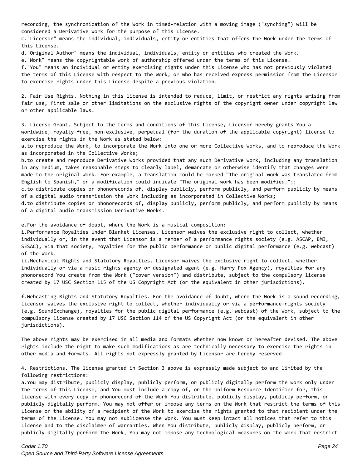recording, the synchronization of the Work in timed-relation with a moving image ("synching") will be considered a Derivative Work for the purpose of this License.

c."Licensor" means the individual, individuals, entity or entities that offers the Work under the terms of this License.

d."Original Author" means the individual, individuals, entity or entities who created the Work.

e."Work" means the copyrightable work of authorship offered under the terms of this License.

f."You" means an individual or entity exercising rights under this License who has not previously violated the terms of this License with respect to the Work, or who has received express permission from the Licensor to exercise rights under this License despite a previous violation.

2. Fair Use Rights. Nothing in this license is intended to reduce, limit, or restrict any rights arising from fair use, first sale or other limitations on the exclusive rights of the copyright owner under copyright law or other applicable laws.

3. License Grant. Subject to the terms and conditions of this License, Licensor hereby grants You a worldwide, royalty-free, non-exclusive, perpetual (for the duration of the applicable copyright) license to exercise the rights in the Work as stated below:

a.to reproduce the Work, to incorporate the Work into one or more Collective Works, and to reproduce the Work as incorporated in the Collective Works;

b.to create and reproduce Derivative Works provided that any such Derivative Work, including any translation in any medium, takes reasonable steps to clearly label, demarcate or otherwise identify that changes were made to the original Work. For example, a translation could be marked "The original work was translated from English to Spanish," or a modification could indicate "The original work has been modified.";;

c.to distribute copies or phonorecords of, display publicly, perform publicly, and perform publicly by means of a digital audio transmission the Work including as incorporated in Collective Works;

d.to distribute copies or phonorecords of, display publicly, perform publicly, and perform publicly by means of a digital audio transmission Derivative Works.

e.For the avoidance of doubt, where the Work is a musical composition:

i.Performance Royalties Under Blanket Licenses. Licensor waives the exclusive right to collect, whether individually or, in the event that Licensor is a member of a performance rights society (e.g. ASCAP, BMI, SESAC), via that society, royalties for the public performance or public digital performance (e.g. webcast) of the Work.

ii.Mechanical Rights and Statutory Royalties. Licensor waives the exclusive right to collect, whether individually or via a music rights agency or designated agent (e.g. Harry Fox Agency), royalties for any phonorecord You create from the Work ("cover version") and distribute, subject to the compulsory license created by 17 USC Section 115 of the US Copyright Act (or the equivalent in other jurisdictions).

f.Webcasting Rights and Statutory Royalties. For the avoidance of doubt, where the Work is a sound recording, Licensor waives the exclusive right to collect, whether individually or via a performance-rights society (e.g. SoundExchange), royalties for the public digital performance (e.g. webcast) of the Work, subject to the compulsory license created by 17 USC Section 114 of the US Copyright Act (or the equivalent in other jurisdictions).

The above rights may be exercised in all media and formats whether now known or hereafter devised. The above rights include the right to make such modifications as are technically necessary to exercise the rights in other media and formats. All rights not expressly granted by Licensor are hereby reserved.

4. Restrictions. The license granted in Section 3 above is expressly made subject to and limited by the following restrictions:

a.You may distribute, publicly display, publicly perform, or publicly digitally perform the Work only under the terms of this License, and You must include a copy of, or the Uniform Resource Identifier for, this License with every copy or phonorecord of the Work You distribute, publicly display, publicly perform, or publicly digitally perform. You may not offer or impose any terms on the Work that restrict the terms of this License or the ability of a recipient of the Work to exercise the rights granted to that recipient under the terms of the License. You may not sublicense the Work. You must keep intact all notices that refer to this License and to the disclaimer of warranties. When You distribute, publicly display, publicly perform, or publicly digitally perform the Work, You may not impose any technological measures on the Work that restrict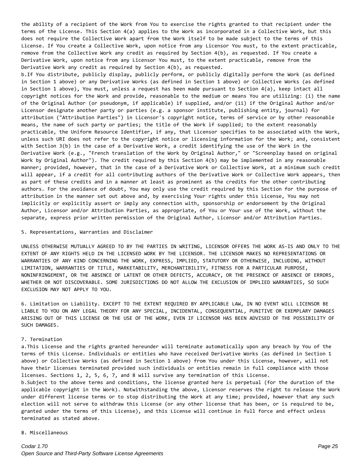the ability of a recipient of the Work from You to exercise the rights granted to that recipient under the terms of the License. This Section 4(a) applies to the Work as incorporated in a Collective Work, but this does not require the Collective Work apart from the Work itself to be made subject to the terms of this License. If You create a Collective Work, upon notice from any Licensor You must, to the extent practicable, remove from the Collective Work any credit as required by Section 4(b), as requested. If You create a Derivative Work, upon notice from any Licensor You must, to the extent practicable, remove from the Derivative Work any credit as required by Section 4(b), as requested.

b.If You distribute, publicly display, publicly perform, or publicly digitally perform the Work (as defined in Section 1 above) or any Derivative Works (as defined in Section 1 above) or Collective Works (as defined in Section 1 above), You must, unless a request has been made pursuant to Section 4(a), keep intact all copyright notices for the Work and provide, reasonable to the medium or means You are utilizing: (i) the name of the Original Author (or pseudonym, if applicable) if supplied, and/or (ii) if the Original Author and/or Licensor designate another party or parties (e.g. a sponsor institute, publishing entity, journal) for attribution ("Attribution Parties") in Licensor's copyright notice, terms of service or by other reasonable means, the name of such party or parties; the title of the Work if supplied; to the extent reasonably practicable, the Uniform Resource Identifier, if any, that Licensor specifies to be associated with the Work, unless such URI does not refer to the copyright notice or licensing information for the Work; and, consistent with Section 3(b) in the case of a Derivative Work, a credit identifying the use of the Work in the Derivative Work (e.g., "French translation of the Work by Original Author," or "Screenplay based on original Work by Original Author"). The credit required by this Section 4(b) may be implemented in any reasonable manner; provided, however, that in the case of a Derivative Work or Collective Work, at a minimum such credit will appear, if a credit for all contributing authors of the Derivative Work or Collective Work appears, then as part of these credits and in a manner at least as prominent as the credits for the other contributing authors. For the avoidance of doubt, You may only use the credit required by this Section for the purpose of attribution in the manner set out above and, by exercising Your rights under this License, You may not implicitly or explicitly assert or imply any connection with, sponsorship or endorsement by the Original Author, Licensor and/or Attribution Parties, as appropriate, of You or Your use of the Work, without the separate, express prior written permission of the Original Author, Licensor and/or Attribution Parties.

#### 5. Representations, Warranties and Disclaimer

UNLESS OTHERWISE MUTUALLY AGREED TO BY THE PARTIES IN WRITING, LICENSOR OFFERS THE WORK AS-IS AND ONLY TO THE EXTENT OF ANY RIGHTS HELD IN THE LICENSED WORK BY THE LICENSOR. THE LICENSOR MAKES NO REPRESENTATIONS OR WARRANTIES OF ANY KIND CONCERNING THE WORK, EXPRESS, IMPLIED, STATUTORY OR OTHERWISE, INCLUDING, WITHOUT LIMITATION, WARRANTIES OF TITLE, MARKETABILITY, MERCHANTIBILITY, FITNESS FOR A PARTICULAR PURPOSE, NONINFRINGEMENT, OR THE ABSENCE OF LATENT OR OTHER DEFECTS, ACCURACY, OR THE PRESENCE OF ABSENCE OF ERRORS, WHETHER OR NOT DISCOVERABLE. SOME JURISDICTIONS DO NOT ALLOW THE EXCLUSION OF IMPLIED WARRANTIES, SO SUCH EXCLUSION MAY NOT APPLY TO YOU.

6. Limitation on Liability. EXCEPT TO THE EXTENT REQUIRED BY APPLICABLE LAW, IN NO EVENT WILL LICENSOR BE LIABLE TO YOU ON ANY LEGAL THEORY FOR ANY SPECIAL, INCIDENTAL, CONSEQUENTIAL, PUNITIVE OR EXEMPLARY DAMAGES ARISING OUT OF THIS LICENSE OR THE USE OF THE WORK, EVEN IF LICENSOR HAS BEEN ADVISED OF THE POSSIBILITY OF SUCH DAMAGES.

#### 7. Termination

a.This License and the rights granted hereunder will terminate automatically upon any breach by You of the terms of this License. Individuals or entities who have received Derivative Works (as defined in Section 1 above) or Collective Works (as defined in Section 1 above) from You under this License, however, will not have their licenses terminated provided such individuals or entities remain in full compliance with those licenses. Sections 1, 2, 5, 6, 7, and 8 will survive any termination of this License.

b.Subject to the above terms and conditions, the license granted here is perpetual (for the duration of the applicable copyright in the Work). Notwithstanding the above, Licensor reserves the right to release the Work under different license terms or to stop distributing the Work at any time; provided, however that any such election will not serve to withdraw this License (or any other license that has been, or is required to be, granted under the terms of this License), and this License will continue in full force and effect unless terminated as stated above.

#### 8. Miscellaneous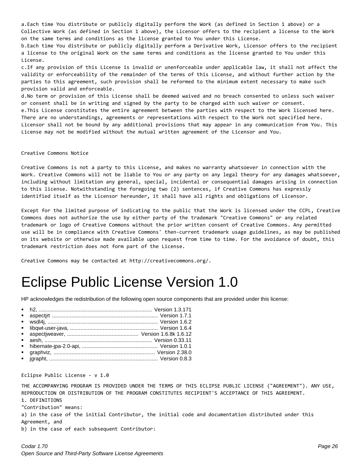a.Each time You distribute or publicly digitally perform the Work (as defined in Section 1 above) or a Collective Work (as defined in Section 1 above), the Licensor offers to the recipient a license to the Work on the same terms and conditions as the license granted to You under this License.

b.Each time You distribute or publicly digitally perform a Derivative Work, Licensor offers to the recipient a license to the original Work on the same terms and conditions as the license granted to You under this License.

c.If any provision of this License is invalid or unenforceable under applicable law, it shall not affect the validity or enforceability of the remainder of the terms of this License, and without further action by the parties to this agreement, such provision shall be reformed to the minimum extent necessary to make such provision valid and enforceable.

d.No term or provision of this License shall be deemed waived and no breach consented to unless such waiver or consent shall be in writing and signed by the party to be charged with such waiver or consent.

e.This License constitutes the entire agreement between the parties with respect to the Work licensed here. There are no understandings, agreements or representations with respect to the Work not specified here. Licensor shall not be bound by any additional provisions that may appear in any communication from You. This License may not be modified without the mutual written agreement of the Licensor and You.

#### Creative Commons Notice

Creative Commons is not a party to this License, and makes no warranty whatsoever in connection with the Work. Creative Commons will not be liable to You or any party on any legal theory for any damages whatsoever, including without limitation any general, special, incidental or consequential damages arising in connection to this license. Notwithstanding the foregoing two (2) sentences, if Creative Commons has expressly identified itself as the Licensor hereunder, it shall have all rights and obligations of Licensor.

Except for the limited purpose of indicating to the public that the Work is licensed under the CCPL, Creative Commons does not authorize the use by either party of the trademark "Creative Commons" or any related trademark or logo of Creative Commons without the prior written consent of Creative Commons. Any permitted use will be in compliance with Creative Commons' then-current trademark usage guidelines, as may be published on its website or otherwise made available upon request from time to time. For the avoidance of doubt, this trademark restriction does not form part of the License.

Creative Commons may be contacted at http://creativecommons.org/.

### <span id="page-25-0"></span>Eclipse Public License Version 1.0

HP acknowledges the redistribution of the following open source components that are provided under this license:

|--|--|--|--|--|--|

- wsdl4j, .......................................................................... Version 1.6.2
- libqwt-user-java, ........................................................... Version 1.6.4
- aspectjweaver, ................................................ Version 1.6.8k 1.6.12
- aesh, ........................................................................ Version 0.33.11
- hibernate-jpa-2.0-api, ................................................... Version 1.0.1
- graphviz, .................................................................... Version 2.38.0 jgrapht, ......................................................................... Version 0.8.3

#### Eclipse Public License - v 1.0

THE ACCOMPANYING PROGRAM IS PROVIDED UNDER THE TERMS OF THIS ECLIPSE PUBLIC LICENSE ("AGREEMENT"). ANY USE, REPRODUCTION OR DISTRIBUTION OF THE PROGRAM CONSTITUTES RECIPIENT'S ACCEPTANCE OF THIS AGREEMENT. 1. DEFINITIONS

- 
- "Contribution" means:

a) in the case of the initial Contributor, the initial code and documentation distributed under this Agreement, and

b) in the case of each subsequent Contributor: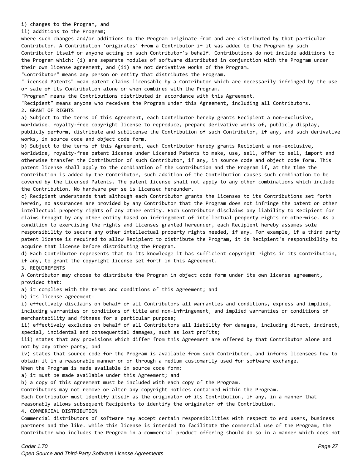#### i) changes to the Program, and

ii) additions to the Program;

where such changes and/or additions to the Program originate from and are distributed by that particular Contributor. A Contribution 'originates' from a Contributor if it was added to the Program by such Contributor itself or anyone acting on such Contributor's behalf. Contributions do not include additions to the Program which: (i) are separate modules of software distributed in conjunction with the Program under their own license agreement, and (ii) are not derivative works of the Program.

"Contributor" means any person or entity that distributes the Program.

"Licensed Patents" mean patent claims licensable by a Contributor which are necessarily infringed by the use or sale of its Contribution alone or when combined with the Program.

"Program" means the Contributions distributed in accordance with this Agreement.

"Recipient" means anyone who receives the Program under this Agreement, including all Contributors. 2. GRANT OF RIGHTS

a) Subject to the terms of this Agreement, each Contributor hereby grants Recipient a non-exclusive, worldwide, royalty-free copyright license to reproduce, prepare derivative works of, publicly display, publicly perform, distribute and sublicense the Contribution of such Contributor, if any, and such derivative works, in source code and object code form.

b) Subject to the terms of this Agreement, each Contributor hereby grants Recipient a non-exclusive, worldwide, royalty-free patent license under Licensed Patents to make, use, sell, offer to sell, import and otherwise transfer the Contribution of such Contributor, if any, in source code and object code form. This patent license shall apply to the combination of the Contribution and the Program if, at the time the Contribution is added by the Contributor, such addition of the Contribution causes such combination to be covered by the Licensed Patents. The patent license shall not apply to any other combinations which include the Contribution. No hardware per se is licensed hereunder.

c) Recipient understands that although each Contributor grants the licenses to its Contributions set forth herein, no assurances are provided by any Contributor that the Program does not infringe the patent or other intellectual property rights of any other entity. Each Contributor disclaims any liability to Recipient for claims brought by any other entity based on infringement of intellectual property rights or otherwise. As a condition to exercising the rights and licenses granted hereunder, each Recipient hereby assumes sole responsibility to secure any other intellectual property rights needed, if any. For example, if a third party patent license is required to allow Recipient to distribute the Program, it is Recipient's responsibility to acquire that license before distributing the Program.

d) Each Contributor represents that to its knowledge it has sufficient copyright rights in its Contribution, if any, to grant the copyright license set forth in this Agreement.

3. REQUIREMENTS

A Contributor may choose to distribute the Program in object code form under its own license agreement, provided that:

a) it complies with the terms and conditions of this Agreement; and

b) its license agreement:

i) effectively disclaims on behalf of all Contributors all warranties and conditions, express and implied, including warranties or conditions of title and non-infringement, and implied warranties or conditions of merchantability and fitness for a particular purpose;

ii) effectively excludes on behalf of all Contributors all liability for damages, including direct, indirect, special, incidental and consequential damages, such as lost profits;

iii) states that any provisions which differ from this Agreement are offered by that Contributor alone and not by any other party; and

iv) states that source code for the Program is available from such Contributor, and informs licensees how to obtain it in a reasonable manner on or through a medium customarily used for software exchange.

When the Program is made available in source code form:

a) it must be made available under this Agreement; and

b) a copy of this Agreement must be included with each copy of the Program.

Contributors may not remove or alter any copyright notices contained within the Program.

Each Contributor must identify itself as the originator of its Contribution, if any, in a manner that

reasonably allows subsequent Recipients to identify the originator of the Contribution.

4. COMMERCIAL DISTRIBUTION

Commercial distributors of software may accept certain responsibilities with respect to end users, business partners and the like. While this license is intended to facilitate the commercial use of the Program, the Contributor who includes the Program in a commercial product offering should do so in a manner which does not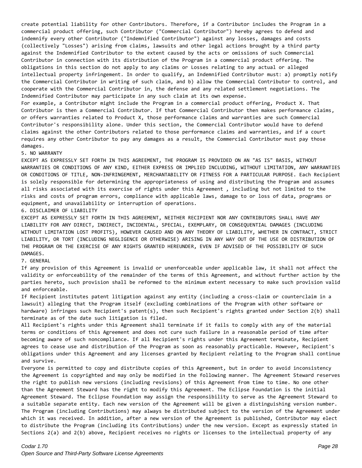create potential liability for other Contributors. Therefore, if a Contributor includes the Program in a commercial product offering, such Contributor ("Commercial Contributor") hereby agrees to defend and indemnify every other Contributor ("Indemnified Contributor") against any losses, damages and costs (collectively "Losses") arising from claims, lawsuits and other legal actions brought by a third party against the Indemnified Contributor to the extent caused by the acts or omissions of such Commercial Contributor in connection with its distribution of the Program in a commercial product offering. The obligations in this section do not apply to any claims or Losses relating to any actual or alleged intellectual property infringement. In order to qualify, an Indemnified Contributor must: a) promptly notify the Commercial Contributor in writing of such claim, and b) allow the Commercial Contributor to control, and cooperate with the Commercial Contributor in, the defense and any related settlement negotiations. The Indemnified Contributor may participate in any such claim at its own expense.

For example, a Contributor might include the Program in a commercial product offering, Product X. That Contributor is then a Commercial Contributor. If that Commercial Contributor then makes performance claims, or offers warranties related to Product X, those performance claims and warranties are such Commercial Contributor's responsibility alone. Under this section, the Commercial Contributor would have to defend claims against the other Contributors related to those performance claims and warranties, and if a court requires any other Contributor to pay any damages as a result, the Commercial Contributor must pay those damages.

#### 5. NO WARRANTY

EXCEPT AS EXPRESSLY SET FORTH IN THIS AGREEMENT, THE PROGRAM IS PROVIDED ON AN "AS IS" BASIS, WITHOUT WARRANTIES OR CONDITIONS OF ANY KIND, EITHER EXPRESS OR IMPLIED INCLUDING, WITHOUT LIMITATION, ANY WARRANTIES OR CONDITIONS OF TITLE, NON-INFRINGEMENT, MERCHANTABILITY OR FITNESS FOR A PARTICULAR PURPOSE. Each Recipient is solely responsible for determining the appropriateness of using and distributing the Program and assumes all risks associated with its exercise of rights under this Agreement , including but not limited to the risks and costs of program errors, compliance with applicable laws, damage to or loss of data, programs or equipment, and unavailability or interruption of operations.

6. DISCLAIMER OF LIABILITY

EXCEPT AS EXPRESSLY SET FORTH IN THIS AGREEMENT, NEITHER RECIPIENT NOR ANY CONTRIBUTORS SHALL HAVE ANY LIABILITY FOR ANY DIRECT, INDIRECT, INCIDENTAL, SPECIAL, EXEMPLARY, OR CONSEQUENTIAL DAMAGES (INCLUDING WITHOUT LIMITATION LOST PROFITS), HOWEVER CAUSED AND ON ANY THEORY OF LIABILITY, WHETHER IN CONTRACT, STRICT LIABILITY, OR TORT (INCLUDING NEGLIGENCE OR OTHERWISE) ARISING IN ANY WAY OUT OF THE USE OR DISTRIBUTION OF THE PROGRAM OR THE EXERCISE OF ANY RIGHTS GRANTED HEREUNDER, EVEN IF ADVISED OF THE POSSIBILITY OF SUCH DAMAGES.

#### 7. GENERAL

If any provision of this Agreement is invalid or unenforceable under applicable law, it shall not affect the validity or enforceability of the remainder of the terms of this Agreement, and without further action by the parties hereto, such provision shall be reformed to the minimum extent necessary to make such provision valid and enforceable.

If Recipient institutes patent litigation against any entity (including a cross-claim or counterclaim in a lawsuit) alleging that the Program itself (excluding combinations of the Program with other software or hardware) infringes such Recipient's patent(s), then such Recipient's rights granted under Section 2(b) shall terminate as of the date such litigation is filed.

All Recipient's rights under this Agreement shall terminate if it fails to comply with any of the material terms or conditions of this Agreement and does not cure such failure in a reasonable period of time after becoming aware of such noncompliance. If all Recipient's rights under this Agreement terminate, Recipient agrees to cease use and distribution of the Program as soon as reasonably practicable. However, Recipient's obligations under this Agreement and any licenses granted by Recipient relating to the Program shall continue and survive.

Everyone is permitted to copy and distribute copies of this Agreement, but in order to avoid inconsistency the Agreement is copyrighted and may only be modified in the following manner. The Agreement Steward reserves the right to publish new versions (including revisions) of this Agreement from time to time. No one other than the Agreement Steward has the right to modify this Agreement. The Eclipse Foundation is the initial Agreement Steward. The Eclipse Foundation may assign the responsibility to serve as the Agreement Steward to a suitable separate entity. Each new version of the Agreement will be given a distinguishing version number. The Program (including Contributions) may always be distributed subject to the version of the Agreement under which it was received. In addition, after a new version of the Agreement is published, Contributor may elect to distribute the Program (including its Contributions) under the new version. Except as expressly stated in Sections 2(a) and 2(b) above, Recipient receives no rights or licenses to the intellectual property of any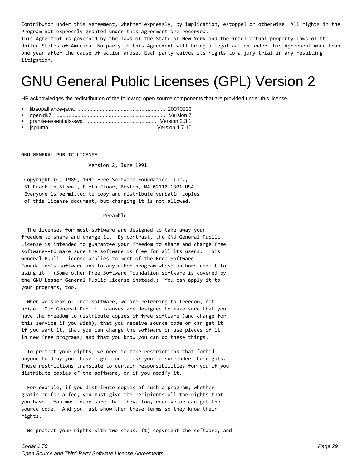Contributor under this Agreement, whether expressly, by implication, estoppel or otherwise. All rights in the Program not expressly granted under this Agreement are reserved.

This Agreement is governed by the laws of the State of New York and the intellectual property laws of the United States of America. No party to this Agreement will bring a legal action under this Agreement more than one year after the cause of action arose. Each party waives its rights to a jury trial in any resulting litigation.

### <span id="page-28-0"></span>GNU General Public Licenses (GPL) Version 2

HP acknowledges the redistribution of the following open source components that are provided under this license:

- libaopalliance-java, ............................................................ 20070526
- openjdk7, ........................................................................... Version 7
- granite-essentials-swc, ................................................ Version 2.3.1 jsplumb, ..................................................................... Version 1.7.10
- 

GNU GENERAL PUBLIC LICENSE

Version 2, June 1991

Copyright (C) 1989, 1991 Free Software Foundation, Inc., 51 Franklin Street, Fifth Floor, Boston, MA 02110-1301 USA Everyone is permitted to copy and distribute verbatim copies of this license document, but changing it is not allowed.

#### Preamble

 The licenses for most software are designed to take away your freedom to share and change it. By contrast, the GNU General Public License is intended to guarantee your freedom to share and change free software--to make sure the software is free for all its users. This General Public License applies to most of the Free Software Foundation's software and to any other program whose authors commit to using it. (Some other Free Software Foundation software is covered by the GNU Lesser General Public License instead.) You can apply it to your programs, too.

 When we speak of free software, we are referring to freedom, not price. Our General Public Licenses are designed to make sure that you have the freedom to distribute copies of free software (and charge for this service if you wish), that you receive source code or can get it if you want it, that you can change the software or use pieces of it in new free programs; and that you know you can do these things.

 To protect your rights, we need to make restrictions that forbid anyone to deny you these rights or to ask you to surrender the rights. These restrictions translate to certain responsibilities for you if you distribute copies of the software, or if you modify it.

 For example, if you distribute copies of such a program, whether gratis or for a fee, you must give the recipients all the rights that you have. You must make sure that they, too, receive or can get the source code. And you must show them these terms so they know their rights.

We protect your rights with two steps: (1) copyright the software, and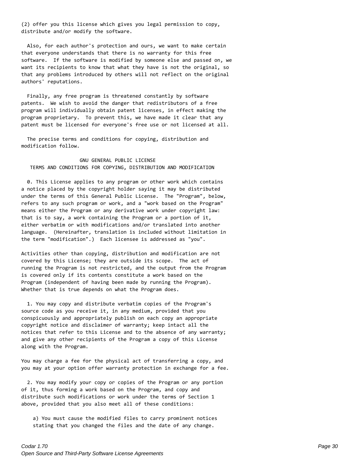(2) offer you this license which gives you legal permission to copy, distribute and/or modify the software.

 Also, for each author's protection and ours, we want to make certain that everyone understands that there is no warranty for this free software. If the software is modified by someone else and passed on, we want its recipients to know that what they have is not the original, so that any problems introduced by others will not reflect on the original authors' reputations.

 Finally, any free program is threatened constantly by software patents. We wish to avoid the danger that redistributors of a free program will individually obtain patent licenses, in effect making the program proprietary. To prevent this, we have made it clear that any patent must be licensed for everyone's free use or not licensed at all.

 The precise terms and conditions for copying, distribution and modification follow.

#### GNU GENERAL PUBLIC LICENSE TERMS AND CONDITIONS FOR COPYING, DISTRIBUTION AND MODIFICATION

 0. This License applies to any program or other work which contains a notice placed by the copyright holder saying it may be distributed under the terms of this General Public License. The "Program", below, refers to any such program or work, and a "work based on the Program" means either the Program or any derivative work under copyright law: that is to say, a work containing the Program or a portion of it, either verbatim or with modifications and/or translated into another language. (Hereinafter, translation is included without limitation in the term "modification".) Each licensee is addressed as "you".

Activities other than copying, distribution and modification are not covered by this License; they are outside its scope. The act of running the Program is not restricted, and the output from the Program is covered only if its contents constitute a work based on the Program (independent of having been made by running the Program). Whether that is true depends on what the Program does.

 1. You may copy and distribute verbatim copies of the Program's source code as you receive it, in any medium, provided that you conspicuously and appropriately publish on each copy an appropriate copyright notice and disclaimer of warranty; keep intact all the notices that refer to this License and to the absence of any warranty; and give any other recipients of the Program a copy of this License along with the Program.

You may charge a fee for the physical act of transferring a copy, and you may at your option offer warranty protection in exchange for a fee.

 2. You may modify your copy or copies of the Program or any portion of it, thus forming a work based on the Program, and copy and distribute such modifications or work under the terms of Section 1 above, provided that you also meet all of these conditions:

 a) You must cause the modified files to carry prominent notices stating that you changed the files and the date of any change.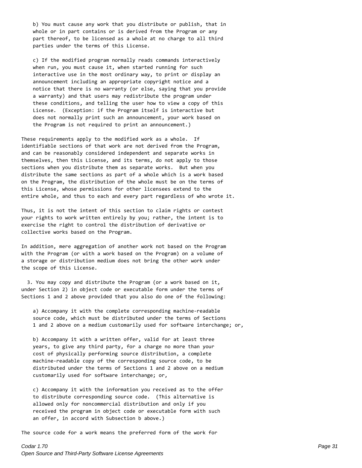b) You must cause any work that you distribute or publish, that in whole or in part contains or is derived from the Program or any part thereof, to be licensed as a whole at no charge to all third parties under the terms of this License.

 c) If the modified program normally reads commands interactively when run, you must cause it, when started running for such interactive use in the most ordinary way, to print or display an announcement including an appropriate copyright notice and a notice that there is no warranty (or else, saying that you provide a warranty) and that users may redistribute the program under these conditions, and telling the user how to view a copy of this License. (Exception: if the Program itself is interactive but does not normally print such an announcement, your work based on the Program is not required to print an announcement.)

These requirements apply to the modified work as a whole. If identifiable sections of that work are not derived from the Program, and can be reasonably considered independent and separate works in themselves, then this License, and its terms, do not apply to those sections when you distribute them as separate works. But when you distribute the same sections as part of a whole which is a work based on the Program, the distribution of the whole must be on the terms of this License, whose permissions for other licensees extend to the entire whole, and thus to each and every part regardless of who wrote it.

Thus, it is not the intent of this section to claim rights or contest your rights to work written entirely by you; rather, the intent is to exercise the right to control the distribution of derivative or collective works based on the Program.

In addition, mere aggregation of another work not based on the Program with the Program (or with a work based on the Program) on a volume of a storage or distribution medium does not bring the other work under the scope of this License.

 3. You may copy and distribute the Program (or a work based on it, under Section 2) in object code or executable form under the terms of Sections 1 and 2 above provided that you also do one of the following:

 a) Accompany it with the complete corresponding machine-readable source code, which must be distributed under the terms of Sections 1 and 2 above on a medium customarily used for software interchange; or,

 b) Accompany it with a written offer, valid for at least three years, to give any third party, for a charge no more than your cost of physically performing source distribution, a complete machine-readable copy of the corresponding source code, to be distributed under the terms of Sections 1 and 2 above on a medium customarily used for software interchange; or,

 c) Accompany it with the information you received as to the offer to distribute corresponding source code. (This alternative is allowed only for noncommercial distribution and only if you received the program in object code or executable form with such an offer, in accord with Subsection b above.)

The source code for a work means the preferred form of the work for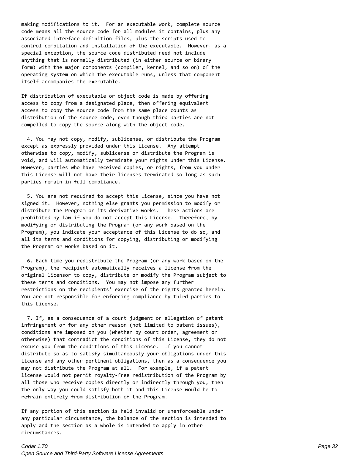making modifications to it. For an executable work, complete source code means all the source code for all modules it contains, plus any associated interface definition files, plus the scripts used to control compilation and installation of the executable. However, as a special exception, the source code distributed need not include anything that is normally distributed (in either source or binary form) with the major components (compiler, kernel, and so on) of the operating system on which the executable runs, unless that component itself accompanies the executable.

If distribution of executable or object code is made by offering access to copy from a designated place, then offering equivalent access to copy the source code from the same place counts as distribution of the source code, even though third parties are not compelled to copy the source along with the object code.

 4. You may not copy, modify, sublicense, or distribute the Program except as expressly provided under this License. Any attempt otherwise to copy, modify, sublicense or distribute the Program is void, and will automatically terminate your rights under this License. However, parties who have received copies, or rights, from you under this License will not have their licenses terminated so long as such parties remain in full compliance.

 5. You are not required to accept this License, since you have not signed it. However, nothing else grants you permission to modify or distribute the Program or its derivative works. These actions are prohibited by law if you do not accept this License. Therefore, by modifying or distributing the Program (or any work based on the Program), you indicate your acceptance of this License to do so, and all its terms and conditions for copying, distributing or modifying the Program or works based on it.

 6. Each time you redistribute the Program (or any work based on the Program), the recipient automatically receives a license from the original licensor to copy, distribute or modify the Program subject to these terms and conditions. You may not impose any further restrictions on the recipients' exercise of the rights granted herein. You are not responsible for enforcing compliance by third parties to this License.

 7. If, as a consequence of a court judgment or allegation of patent infringement or for any other reason (not limited to patent issues), conditions are imposed on you (whether by court order, agreement or otherwise) that contradict the conditions of this License, they do not excuse you from the conditions of this License. If you cannot distribute so as to satisfy simultaneously your obligations under this License and any other pertinent obligations, then as a consequence you may not distribute the Program at all. For example, if a patent license would not permit royalty-free redistribution of the Program by all those who receive copies directly or indirectly through you, then the only way you could satisfy both it and this License would be to refrain entirely from distribution of the Program.

If any portion of this section is held invalid or unenforceable under any particular circumstance, the balance of the section is intended to apply and the section as a whole is intended to apply in other circumstances.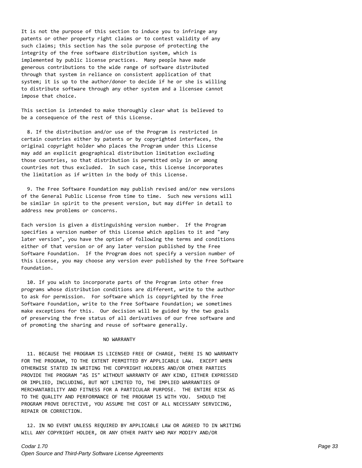It is not the purpose of this section to induce you to infringe any patents or other property right claims or to contest validity of any such claims; this section has the sole purpose of protecting the integrity of the free software distribution system, which is implemented by public license practices. Many people have made generous contributions to the wide range of software distributed through that system in reliance on consistent application of that system; it is up to the author/donor to decide if he or she is willing to distribute software through any other system and a licensee cannot impose that choice.

This section is intended to make thoroughly clear what is believed to be a consequence of the rest of this License.

 8. If the distribution and/or use of the Program is restricted in certain countries either by patents or by copyrighted interfaces, the original copyright holder who places the Program under this License may add an explicit geographical distribution limitation excluding those countries, so that distribution is permitted only in or among countries not thus excluded. In such case, this License incorporates the limitation as if written in the body of this License.

 9. The Free Software Foundation may publish revised and/or new versions of the General Public License from time to time. Such new versions will be similar in spirit to the present version, but may differ in detail to address new problems or concerns.

Each version is given a distinguishing version number. If the Program specifies a version number of this License which applies to it and "any later version", you have the option of following the terms and conditions either of that version or of any later version published by the Free Software Foundation. If the Program does not specify a version number of this License, you may choose any version ever published by the Free Software Foundation.

 10. If you wish to incorporate parts of the Program into other free programs whose distribution conditions are different, write to the author to ask for permission. For software which is copyrighted by the Free Software Foundation, write to the Free Software Foundation; we sometimes make exceptions for this. Our decision will be guided by the two goals of preserving the free status of all derivatives of our free software and of promoting the sharing and reuse of software generally.

#### NO WARRANTY

 11. BECAUSE THE PROGRAM IS LICENSED FREE OF CHARGE, THERE IS NO WARRANTY FOR THE PROGRAM, TO THE EXTENT PERMITTED BY APPLICABLE LAW. EXCEPT WHEN OTHERWISE STATED IN WRITING THE COPYRIGHT HOLDERS AND/OR OTHER PARTIES PROVIDE THE PROGRAM "AS IS" WITHOUT WARRANTY OF ANY KIND, EITHER EXPRESSED OR IMPLIED, INCLUDING, BUT NOT LIMITED TO, THE IMPLIED WARRANTIES OF MERCHANTABILITY AND FITNESS FOR A PARTICULAR PURPOSE. THE ENTIRE RISK AS TO THE QUALITY AND PERFORMANCE OF THE PROGRAM IS WITH YOU. SHOULD THE PROGRAM PROVE DEFECTIVE, YOU ASSUME THE COST OF ALL NECESSARY SERVICING, REPAIR OR CORRECTION.

 12. IN NO EVENT UNLESS REQUIRED BY APPLICABLE LAW OR AGREED TO IN WRITING WILL ANY COPYRIGHT HOLDER, OR ANY OTHER PARTY WHO MAY MODIFY AND/OR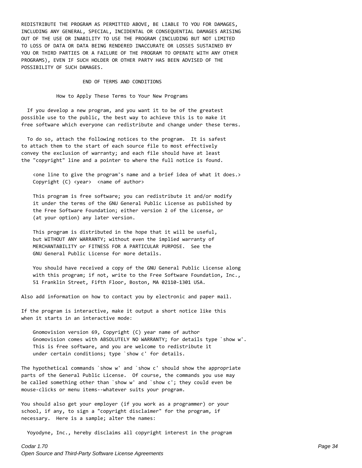REDISTRIBUTE THE PROGRAM AS PERMITTED ABOVE, BE LIABLE TO YOU FOR DAMAGES, INCLUDING ANY GENERAL, SPECIAL, INCIDENTAL OR CONSEQUENTIAL DAMAGES ARISING OUT OF THE USE OR INABILITY TO USE THE PROGRAM (INCLUDING BUT NOT LIMITED TO LOSS OF DATA OR DATA BEING RENDERED INACCURATE OR LOSSES SUSTAINED BY YOU OR THIRD PARTIES OR A FAILURE OF THE PROGRAM TO OPERATE WITH ANY OTHER PROGRAMS), EVEN IF SUCH HOLDER OR OTHER PARTY HAS BEEN ADVISED OF THE POSSIBILITY OF SUCH DAMAGES.

END OF TERMS AND CONDITIONS

How to Apply These Terms to Your New Programs

 If you develop a new program, and you want it to be of the greatest possible use to the public, the best way to achieve this is to make it free software which everyone can redistribute and change under these terms.

 To do so, attach the following notices to the program. It is safest to attach them to the start of each source file to most effectively convey the exclusion of warranty; and each file should have at least the "copyright" line and a pointer to where the full notice is found.

 <one line to give the program's name and a brief idea of what it does.> Copyright (C) <year> <name of author>

 This program is free software; you can redistribute it and/or modify it under the terms of the GNU General Public License as published by the Free Software Foundation; either version 2 of the License, or (at your option) any later version.

 This program is distributed in the hope that it will be useful, but WITHOUT ANY WARRANTY; without even the implied warranty of MERCHANTABILITY or FITNESS FOR A PARTICULAR PURPOSE. See the GNU General Public License for more details.

 You should have received a copy of the GNU General Public License along with this program; if not, write to the Free Software Foundation, Inc., 51 Franklin Street, Fifth Floor, Boston, MA 02110-1301 USA.

Also add information on how to contact you by electronic and paper mail.

If the program is interactive, make it output a short notice like this when it starts in an interactive mode:

 Gnomovision version 69, Copyright (C) year name of author Gnomovision comes with ABSOLUTELY NO WARRANTY; for details type `show w'. This is free software, and you are welcome to redistribute it under certain conditions; type `show c' for details.

The hypothetical commands `show w' and `show c' should show the appropriate parts of the General Public License. Of course, the commands you use may be called something other than `show w' and `show c'; they could even be mouse-clicks or menu items--whatever suits your program.

You should also get your employer (if you work as a programmer) or your school, if any, to sign a "copyright disclaimer" for the program, if necessary. Here is a sample; alter the names:

Yoyodyne, Inc., hereby disclaims all copyright interest in the program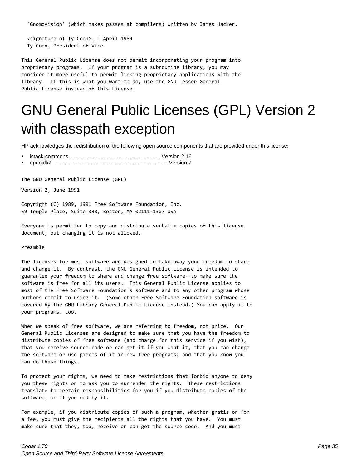`Gnomovision' (which makes passes at compilers) written by James Hacker.

 <signature of Ty Coon>, 1 April 1989 Ty Coon, President of Vice

This General Public License does not permit incorporating your program into proprietary programs. If your program is a subroutine library, you may consider it more useful to permit linking proprietary applications with the library. If this is what you want to do, use the GNU Lesser General Public License instead of this License.

# <span id="page-34-0"></span>GNU General Public Licenses (GPL) Version 2 with classpath exception

HP acknowledges the redistribution of the following open source components that are provided under this license:

- istack-commons ............................................................ Version 2.16
- openjdk7, ........................................................................... Version 7

The GNU General Public License (GPL)

Version 2, June 1991

Copyright (C) 1989, 1991 Free Software Foundation, Inc. 59 Temple Place, Suite 330, Boston, MA 02111-1307 USA

Everyone is permitted to copy and distribute verbatim copies of this license document, but changing it is not allowed.

Preamble

The licenses for most software are designed to take away your freedom to share and change it. By contrast, the GNU General Public License is intended to guarantee your freedom to share and change free software--to make sure the software is free for all its users. This General Public License applies to most of the Free Software Foundation's software and to any other program whose authors commit to using it. (Some other Free Software Foundation software is covered by the GNU Library General Public License instead.) You can apply it to your programs, too.

When we speak of free software, we are referring to freedom, not price. Our General Public Licenses are designed to make sure that you have the freedom to distribute copies of free software (and charge for this service if you wish), that you receive source code or can get it if you want it, that you can change the software or use pieces of it in new free programs; and that you know you can do these things.

To protect your rights, we need to make restrictions that forbid anyone to deny you these rights or to ask you to surrender the rights. These restrictions translate to certain responsibilities for you if you distribute copies of the software, or if you modify it.

For example, if you distribute copies of such a program, whether gratis or for a fee, you must give the recipients all the rights that you have. You must make sure that they, too, receive or can get the source code. And you must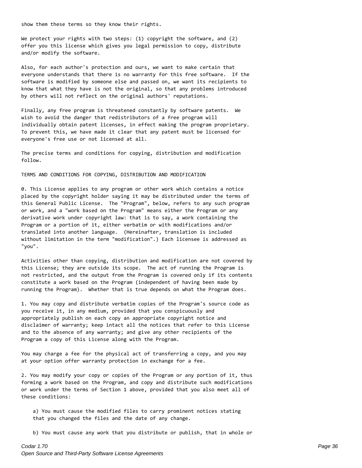show them these terms so they know their rights.

We protect your rights with two steps: (1) copyright the software, and (2) offer you this license which gives you legal permission to copy, distribute and/or modify the software.

Also, for each author's protection and ours, we want to make certain that everyone understands that there is no warranty for this free software. If the software is modified by someone else and passed on, we want its recipients to know that what they have is not the original, so that any problems introduced by others will not reflect on the original authors' reputations.

Finally, any free program is threatened constantly by software patents. We wish to avoid the danger that redistributors of a free program will individually obtain patent licenses, in effect making the program proprietary. To prevent this, we have made it clear that any patent must be licensed for everyone's free use or not licensed at all.

The precise terms and conditions for copying, distribution and modification follow.

#### TERMS AND CONDITIONS FOR COPYING, DISTRIBUTION AND MODIFICATION

0. This License applies to any program or other work which contains a notice placed by the copyright holder saying it may be distributed under the terms of this General Public License. The "Program", below, refers to any such program or work, and a "work based on the Program" means either the Program or any derivative work under copyright law: that is to say, a work containing the Program or a portion of it, either verbatim or with modifications and/or translated into another language. (Hereinafter, translation is included without limitation in the term "modification".) Each licensee is addressed as "you".

Activities other than copying, distribution and modification are not covered by this License; they are outside its scope. The act of running the Program is not restricted, and the output from the Program is covered only if its contents constitute a work based on the Program (independent of having been made by running the Program). Whether that is true depends on what the Program does.

1. You may copy and distribute verbatim copies of the Program's source code as you receive it, in any medium, provided that you conspicuously and appropriately publish on each copy an appropriate copyright notice and disclaimer of warranty; keep intact all the notices that refer to this License and to the absence of any warranty; and give any other recipients of the Program a copy of this License along with the Program.

You may charge a fee for the physical act of transferring a copy, and you may at your option offer warranty protection in exchange for a fee.

2. You may modify your copy or copies of the Program or any portion of it, thus forming a work based on the Program, and copy and distribute such modifications or work under the terms of Section 1 above, provided that you also meet all of these conditions:

 a) You must cause the modified files to carry prominent notices stating that you changed the files and the date of any change.

b) You must cause any work that you distribute or publish, that in whole or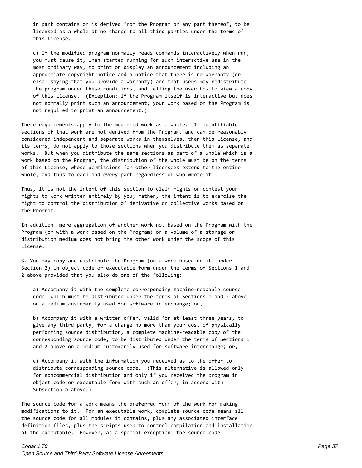in part contains or is derived from the Program or any part thereof, to be licensed as a whole at no charge to all third parties under the terms of this License.

 c) If the modified program normally reads commands interactively when run, you must cause it, when started running for such interactive use in the most ordinary way, to print or display an announcement including an appropriate copyright notice and a notice that there is no warranty (or else, saying that you provide a warranty) and that users may redistribute the program under these conditions, and telling the user how to view a copy of this License. (Exception: if the Program itself is interactive but does not normally print such an announcement, your work based on the Program is not required to print an announcement.)

These requirements apply to the modified work as a whole. If identifiable sections of that work are not derived from the Program, and can be reasonably considered independent and separate works in themselves, then this License, and its terms, do not apply to those sections when you distribute them as separate works. But when you distribute the same sections as part of a whole which is a work based on the Program, the distribution of the whole must be on the terms of this License, whose permissions for other licensees extend to the entire whole, and thus to each and every part regardless of who wrote it.

Thus, it is not the intent of this section to claim rights or contest your rights to work written entirely by you; rather, the intent is to exercise the right to control the distribution of derivative or collective works based on the Program.

In addition, mere aggregation of another work not based on the Program with the Program (or with a work based on the Program) on a volume of a storage or distribution medium does not bring the other work under the scope of this License.

3. You may copy and distribute the Program (or a work based on it, under Section 2) in object code or executable form under the terms of Sections 1 and 2 above provided that you also do one of the following:

 a) Accompany it with the complete corresponding machine-readable source code, which must be distributed under the terms of Sections 1 and 2 above on a medium customarily used for software interchange; or,

 b) Accompany it with a written offer, valid for at least three years, to give any third party, for a charge no more than your cost of physically performing source distribution, a complete machine-readable copy of the corresponding source code, to be distributed under the terms of Sections 1 and 2 above on a medium customarily used for software interchange; or,

 c) Accompany it with the information you received as to the offer to distribute corresponding source code. (This alternative is allowed only for noncommercial distribution and only if you received the program in object code or executable form with such an offer, in accord with Subsection b above.)

The source code for a work means the preferred form of the work for making modifications to it. For an executable work, complete source code means all the source code for all modules it contains, plus any associated interface definition files, plus the scripts used to control compilation and installation of the executable. However, as a special exception, the source code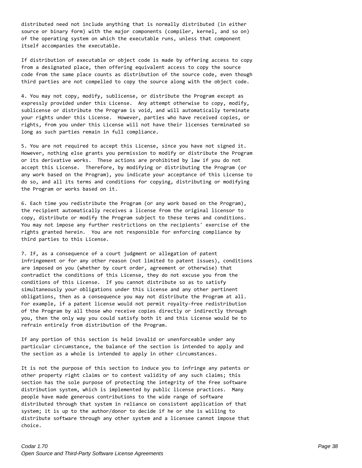distributed need not include anything that is normally distributed (in either source or binary form) with the major components (compiler, kernel, and so on) of the operating system on which the executable runs, unless that component itself accompanies the executable.

If distribution of executable or object code is made by offering access to copy from a designated place, then offering equivalent access to copy the source code from the same place counts as distribution of the source code, even though third parties are not compelled to copy the source along with the object code.

4. You may not copy, modify, sublicense, or distribute the Program except as expressly provided under this License. Any attempt otherwise to copy, modify, sublicense or distribute the Program is void, and will automatically terminate your rights under this License. However, parties who have received copies, or rights, from you under this License will not have their licenses terminated so long as such parties remain in full compliance.

5. You are not required to accept this License, since you have not signed it. However, nothing else grants you permission to modify or distribute the Program or its derivative works. These actions are prohibited by law if you do not accept this License. Therefore, by modifying or distributing the Program (or any work based on the Program), you indicate your acceptance of this License to do so, and all its terms and conditions for copying, distributing or modifying the Program or works based on it.

6. Each time you redistribute the Program (or any work based on the Program), the recipient automatically receives a license from the original licensor to copy, distribute or modify the Program subject to these terms and conditions. You may not impose any further restrictions on the recipients' exercise of the rights granted herein. You are not responsible for enforcing compliance by third parties to this License.

7. If, as a consequence of a court judgment or allegation of patent infringement or for any other reason (not limited to patent issues), conditions are imposed on you (whether by court order, agreement or otherwise) that contradict the conditions of this License, they do not excuse you from the conditions of this License. If you cannot distribute so as to satisfy simultaneously your obligations under this License and any other pertinent obligations, then as a consequence you may not distribute the Program at all. For example, if a patent license would not permit royalty-free redistribution of the Program by all those who receive copies directly or indirectly through you, then the only way you could satisfy both it and this License would be to refrain entirely from distribution of the Program.

If any portion of this section is held invalid or unenforceable under any particular circumstance, the balance of the section is intended to apply and the section as a whole is intended to apply in other circumstances.

It is not the purpose of this section to induce you to infringe any patents or other property right claims or to contest validity of any such claims; this section has the sole purpose of protecting the integrity of the free software distribution system, which is implemented by public license practices. Many people have made generous contributions to the wide range of software distributed through that system in reliance on consistent application of that system; it is up to the author/donor to decide if he or she is willing to distribute software through any other system and a licensee cannot impose that choice.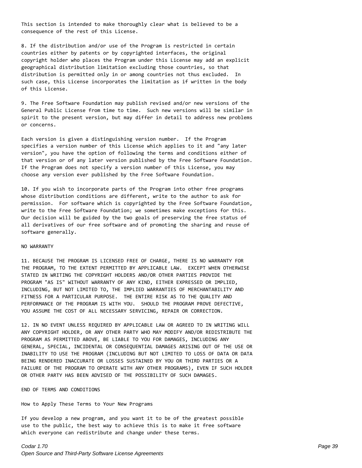This section is intended to make thoroughly clear what is believed to be a consequence of the rest of this License.

8. If the distribution and/or use of the Program is restricted in certain countries either by patents or by copyrighted interfaces, the original copyright holder who places the Program under this License may add an explicit geographical distribution limitation excluding those countries, so that distribution is permitted only in or among countries not thus excluded. such case, this License incorporates the limitation as if written in the body of this License.

9. The Free Software Foundation may publish revised and/or new versions of the General Public License from time to time. Such new versions will be similar in spirit to the present version, but may differ in detail to address new problems or concerns.

Each version is given a distinguishing version number. If the Program specifies a version number of this License which applies to it and "any later version", you have the option of following the terms and conditions either of that version or of any later version published by the Free Software Foundation. If the Program does not specify a version number of this License, you may choose any version ever published by the Free Software Foundation.

10. If you wish to incorporate parts of the Program into other free programs whose distribution conditions are different, write to the author to ask for permission. For software which is copyrighted by the Free Software Foundation, write to the Free Software Foundation; we sometimes make exceptions for this. Our decision will be guided by the two goals of preserving the free status of all derivatives of our free software and of promoting the sharing and reuse of software generally.

#### NO WARRANTY

11. BECAUSE THE PROGRAM IS LICENSED FREE OF CHARGE, THERE IS NO WARRANTY FOR THE PROGRAM, TO THE EXTENT PERMITTED BY APPLICABLE LAW. EXCEPT WHEN OTHERWISE STATED IN WRITING THE COPYRIGHT HOLDERS AND/OR OTHER PARTIES PROVIDE THE PROGRAM "AS IS" WITHOUT WARRANTY OF ANY KIND, EITHER EXPRESSED OR IMPLIED, INCLUDING, BUT NOT LIMITED TO, THE IMPLIED WARRANTIES OF MERCHANTABILITY AND FITNESS FOR A PARTICULAR PURPOSE. THE ENTIRE RISK AS TO THE QUALITY AND PERFORMANCE OF THE PROGRAM IS WITH YOU. SHOULD THE PROGRAM PROVE DEFECTIVE, YOU ASSUME THE COST OF ALL NECESSARY SERVICING, REPAIR OR CORRECTION.

12. IN NO EVENT UNLESS REQUIRED BY APPLICABLE LAW OR AGREED TO IN WRITING WILL ANY COPYRIGHT HOLDER, OR ANY OTHER PARTY WHO MAY MODIFY AND/OR REDISTRIBUTE THE PROGRAM AS PERMITTED ABOVE, BE LIABLE TO YOU FOR DAMAGES, INCLUDING ANY GENERAL, SPECIAL, INCIDENTAL OR CONSEQUENTIAL DAMAGES ARISING OUT OF THE USE OR INABILITY TO USE THE PROGRAM (INCLUDING BUT NOT LIMITED TO LOSS OF DATA OR DATA BEING RENDERED INACCURATE OR LOSSES SUSTAINED BY YOU OR THIRD PARTIES OR A FAILURE OF THE PROGRAM TO OPERATE WITH ANY OTHER PROGRAMS), EVEN IF SUCH HOLDER OR OTHER PARTY HAS BEEN ADVISED OF THE POSSIBILITY OF SUCH DAMAGES.

END OF TERMS AND CONDITIONS

How to Apply These Terms to Your New Programs

If you develop a new program, and you want it to be of the greatest possible use to the public, the best way to achieve this is to make it free software which everyone can redistribute and change under these terms.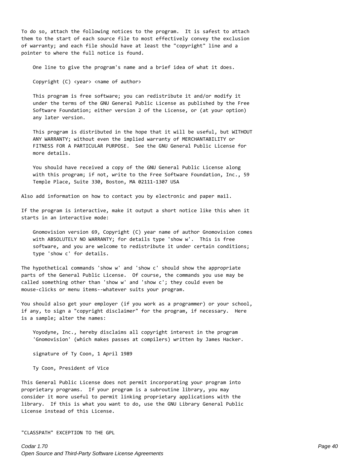To do so, attach the following notices to the program. It is safest to attach them to the start of each source file to most effectively convey the exclusion of warranty; and each file should have at least the "copyright" line and a pointer to where the full notice is found.

One line to give the program's name and a brief idea of what it does.

Copyright (C) <year> <name of author>

 This program is free software; you can redistribute it and/or modify it under the terms of the GNU General Public License as published by the Free Software Foundation; either version 2 of the License, or (at your option) any later version.

 This program is distributed in the hope that it will be useful, but WITHOUT ANY WARRANTY; without even the implied warranty of MERCHANTABILITY or FITNESS FOR A PARTICULAR PURPOSE. See the GNU General Public License for more details.

 You should have received a copy of the GNU General Public License along with this program; if not, write to the Free Software Foundation, Inc., 59 Temple Place, Suite 330, Boston, MA 02111-1307 USA

Also add information on how to contact you by electronic and paper mail.

If the program is interactive, make it output a short notice like this when it starts in an interactive mode:

 Gnomovision version 69, Copyright (C) year name of author Gnomovision comes with ABSOLUTELY NO WARRANTY; for details type 'show w'. This is free software, and you are welcome to redistribute it under certain conditions; type 'show c' for details.

The hypothetical commands 'show w' and 'show c' should show the appropriate parts of the General Public License. Of course, the commands you use may be called something other than 'show w' and 'show c'; they could even be mouse-clicks or menu items--whatever suits your program.

You should also get your employer (if you work as a programmer) or your school, if any, to sign a "copyright disclaimer" for the program, if necessary. Here is a sample; alter the names:

 Yoyodyne, Inc., hereby disclaims all copyright interest in the program 'Gnomovision' (which makes passes at compilers) written by James Hacker.

signature of Ty Coon, 1 April 1989

Ty Coon, President of Vice

This General Public License does not permit incorporating your program into proprietary programs. If your program is a subroutine library, you may consider it more useful to permit linking proprietary applications with the library. If this is what you want to do, use the GNU Library General Public License instead of this License.

"CLASSPATH" EXCEPTION TO THE GPL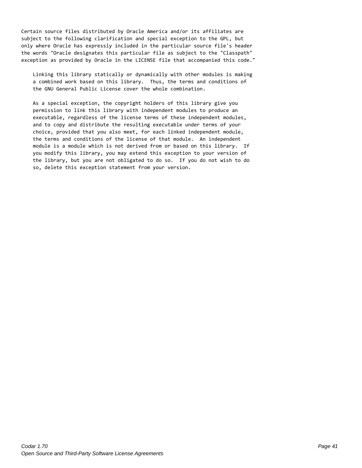Certain source files distributed by Oracle America and/or its affiliates are subject to the following clarification and special exception to the GPL, but only where Oracle has expressly included in the particular source file's header the words "Oracle designates this particular file as subject to the "Classpath" exception as provided by Oracle in the LICENSE file that accompanied this code."

 Linking this library statically or dynamically with other modules is making a combined work based on this library. Thus, the terms and conditions of the GNU General Public License cover the whole combination.

 As a special exception, the copyright holders of this library give you permission to link this library with independent modules to produce an executable, regardless of the license terms of these independent modules, and to copy and distribute the resulting executable under terms of your choice, provided that you also meet, for each linked independent module, the terms and conditions of the license of that module. An independent module is a module which is not derived from or based on this library. If you modify this library, you may extend this exception to your version of the library, but you are not obligated to do so. If you do not wish to do so, delete this exception statement from your version.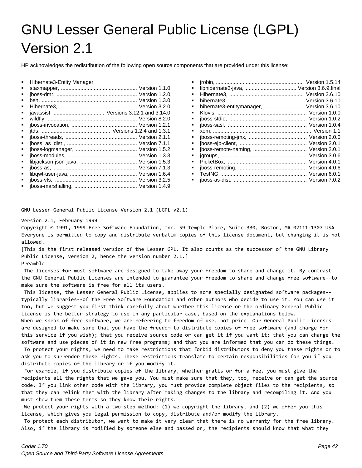# <span id="page-41-0"></span>GNU Lesser General Public License (LGPL) Version 2.1

HP acknowledges the redistribution of the following open source components that are provided under this license:

|  | Hibernate3-Entity Manager |  |
|--|---------------------------|--|
|--|---------------------------|--|

| javassist,  Versions 3.12.1 and 3.14.0 |  |
|----------------------------------------|--|
|                                        |  |
|                                        |  |
|                                        |  |
|                                        |  |
|                                        |  |
|                                        |  |
|                                        |  |
|                                        |  |
|                                        |  |
|                                        |  |
|                                        |  |

jboss-marshalling, .......................................... Version 1.4.9

| ٠<br>$\blacksquare$ |                                           |               |
|---------------------|-------------------------------------------|---------------|
| ٠                   |                                           |               |
| ٠                   |                                           |               |
| ٠                   | hibernate3-entitymanager,  Version 3.6.10 |               |
| $\blacksquare$      |                                           |               |
| ٠                   |                                           |               |
| Ξ                   |                                           |               |
| $\blacksquare$      |                                           |               |
| ٠                   |                                           |               |
| ٠                   |                                           |               |
| ٠                   |                                           |               |
| ٠                   |                                           | Version 3.0.6 |
| $\blacksquare$      |                                           | Version 4.0.1 |
| ٠                   |                                           |               |
| $\blacksquare$      |                                           |               |
| $\blacksquare$      |                                           |               |

GNU Lesser General Public License Version 2.1 (LGPL v2.1)

#### Version 2.1, February 1999

Copyright © 1991, 1999 Free Software Foundation, Inc. 59 Temple Place, Suite 330, Boston, MA 02111-1307 USA Everyone is permitted to copy and distribute verbatim copies of this license document, but changing it is not allowed.

[This is the first released version of the Lesser GPL. It also counts as the successor of the GNU Library Public License, version 2, hence the version number 2.1.] Preamble

The licenses for most software are designed to take away your freedom to share and change it. By contrast, the GNU General Public Licenses are intended to guarantee your freedom to share and change free software--to make sure the software is free for all its users.

This license, the Lesser General Public License, applies to some specially designated software packages- typically libraries--of the Free Software Foundation and other authors who decide to use it. You can use it too, but we suggest you first think carefully about whether this license or the ordinary General Public License is the better strategy to use in any particular case, based on the explanations below.

When we speak of free software, we are referring to freedom of use, not price. Our General Public Licenses are designed to make sure that you have the freedom to distribute copies of free software (and charge for this service if you wish); that you receive source code or can get it if you want it; that you can change the software and use pieces of it in new free programs; and that you are informed that you can do these things. To protect your rights, we need to make restrictions that forbid distributors to deny you these rights or to ask you to surrender these rights. These restrictions translate to certain responsibilities for you if you distribute copies of the library or if you modify it.

For example, if you distribute copies of the library, whether gratis or for a fee, you must give the recipients all the rights that we gave you. You must make sure that they, too, receive or can get the source code. If you link other code with the library, you must provide complete object files to the recipients, so that they can relink them with the library after making changes to the library and recompiling it. And you must show them these terms so they know their rights.

We protect your rights with a two-step method: (1) we copyright the library, and (2) we offer you this license, which gives you legal permission to copy, distribute and/or modify the library.

To protect each distributor, we want to make it very clear that there is no warranty for the free library. Also, if the library is modified by someone else and passed on, the recipients should know that what they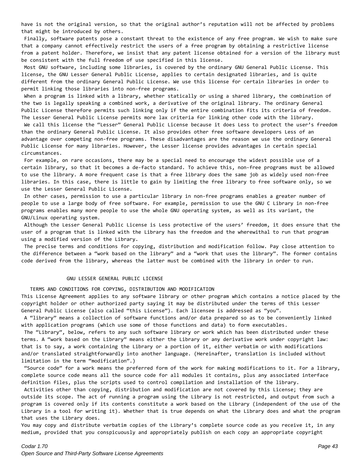have is not the original version, so that the original author's reputation will not be affected by problems that might be introduced by others.

Finally, software patents pose a constant threat to the existence of any free program. We wish to make sure that a company cannot effectively restrict the users of a free program by obtaining a restrictive license from a patent holder. Therefore, we insist that any patent license obtained for a version of the library must be consistent with the full freedom of use specified in this license.

Most GNU software, including some libraries, is covered by the ordinary GNU General Public License. This license, the GNU Lesser General Public License, applies to certain designated libraries, and is quite different from the ordinary General Public License. We use this license for certain libraries in order to permit linking those libraries into non-free programs.

When a program is linked with a library, whether statically or using a shared library, the combination of the two is legally speaking a combined work, a derivative of the original library. The ordinary General Public License therefore permits such linking only if the entire combination fits its criteria of freedom. The Lesser General Public License permits more lax criteria for linking other code with the library. We call this license the "Lesser" General Public License because it does Less to protect the user's freedom than the ordinary General Public License. It also provides other free software developers Less of an advantage over competing non-free programs. These disadvantages are the reason we use the ordinary General Public License for many libraries. However, the Lesser license provides advantages in certain special circumstances.

For example, on rare occasions, there may be a special need to encourage the widest possible use of a certain library, so that it becomes a de-facto standard. To achieve this, non-free programs must be allowed to use the library. A more frequent case is that a free library does the same job as widely used non-free libraries. In this case, there is little to gain by limiting the free library to free software only, so we use the Lesser General Public License.

In other cases, permission to use a particular library in non-free programs enables a greater number of people to use a large body of free software. For example, permission to use the GNU C Library in non-free programs enables many more people to use the whole GNU operating system, as well as its variant, the GNU/Linux operating system.

Although the Lesser General Public License is Less protective of the users' freedom, it does ensure that the user of a program that is linked with the Library has the freedom and the wherewithal to run that program using a modified version of the Library.

The precise terms and conditions for copying, distribution and modification follow. Pay close attention to the difference between a "work based on the library" and a "work that uses the library". The former contains code derived from the library, whereas the latter must be combined with the library in order to run.

#### GNU LESSER GENERAL PUBLIC LICENSE

#### TERMS AND CONDITIONS FOR COPYING, DISTRIBUTION AND MODIFICATION

This License Agreement applies to any software library or other program which contains a notice placed by the copyright holder or other authorized party saying it may be distributed under the terms of this Lesser General Public License (also called "this License"). Each licensee is addressed as "you".

A "library" means a collection of software functions and/or data prepared so as to be conveniently linked with application programs (which use some of those functions and data) to form executables.

The "Library", below, refers to any such software library or work which has been distributed under these terms. A "work based on the Library" means either the Library or any derivative work under copyright law: that is to say, a work containing the Library or a portion of it, either verbatim or with modifications and/or translated straightforwardly into another language. (Hereinafter, translation is included without limitation in the term "modification".)

"Source code" for a work means the preferred form of the work for making modifications to it. For a library, complete source code means all the source code for all modules it contains, plus any associated interface definition files, plus the scripts used to control compilation and installation of the library.

Activities other than copying, distribution and modification are not covered by this License; they are outside its scope. The act of running a program using the Library is not restricted, and output from such a program is covered only if its contents constitute a work based on the Library (independent of the use of the Library in a tool for writing it). Whether that is true depends on what the Library does and what the program that uses the Library does.

You may copy and distribute verbatim copies of the Library's complete source code as you receive it, in any medium, provided that you conspicuously and appropriately publish on each copy an appropriate copyright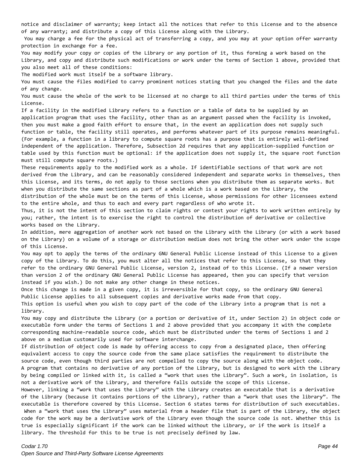notice and disclaimer of warranty; keep intact all the notices that refer to this License and to the absence of any warranty; and distribute a copy of this License along with the Library.

You may charge a fee for the physical act of transferring a copy, and you may at your option offer warranty protection in exchange for a fee.

You may modify your copy or copies of the Library or any portion of it, thus forming a work based on the Library, and copy and distribute such modifications or work under the terms of Section 1 above, provided that you also meet all of these conditions:

The modified work must itself be a software library.

You must cause the files modified to carry prominent notices stating that you changed the files and the date of any change.

You must cause the whole of the work to be licensed at no charge to all third parties under the terms of this License.

If a facility in the modified Library refers to a function or a table of data to be supplied by an application program that uses the facility, other than as an argument passed when the facility is invoked, then you must make a good faith effort to ensure that, in the event an application does not supply such function or table, the facility still operates, and performs whatever part of its purpose remains meaningful. (For example, a function in a library to compute square roots has a purpose that is entirely well-defined independent of the application. Therefore, Subsection 2d requires that any application-supplied function or table used by this function must be optional: if the application does not supply it, the square root function must still compute square roots.)

These requirements apply to the modified work as a whole. If identifiable sections of that work are not derived from the Library, and can be reasonably considered independent and separate works in themselves, then this License, and its terms, do not apply to those sections when you distribute them as separate works. But when you distribute the same sections as part of a whole which is a work based on the Library, the distribution of the whole must be on the terms of this License, whose permissions for other licensees extend to the entire whole, and thus to each and every part regardless of who wrote it.

Thus, it is not the intent of this section to claim rights or contest your rights to work written entirely by you; rather, the intent is to exercise the right to control the distribution of derivative or collective works based on the Library.

In addition, mere aggregation of another work not based on the Library with the Library (or with a work based on the Library) on a volume of a storage or distribution medium does not bring the other work under the scope of this License.

You may opt to apply the terms of the ordinary GNU General Public License instead of this License to a given copy of the Library. To do this, you must alter all the notices that refer to this License, so that they refer to the ordinary GNU General Public License, version 2, instead of to this License. (If a newer version than version 2 of the ordinary GNU General Public License has appeared, then you can specify that version instead if you wish.) Do not make any other change in these notices.

Once this change is made in a given copy, it is irreversible for that copy, so the ordinary GNU General Public License applies to all subsequent copies and derivative works made from that copy.

This option is useful when you wish to copy part of the code of the Library into a program that is not a library.

You may copy and distribute the Library (or a portion or derivative of it, under Section 2) in object code or executable form under the terms of Sections 1 and 2 above provided that you accompany it with the complete corresponding machine-readable source code, which must be distributed under the terms of Sections 1 and 2 above on a medium customarily used for software interchange.

If distribution of object code is made by offering access to copy from a designated place, then offering equivalent access to copy the source code from the same place satisfies the requirement to distribute the source code, even though third parties are not compelled to copy the source along with the object code. A program that contains no derivative of any portion of the Library, but is designed to work with the Library by being compiled or linked with it, is called a "work that uses the Library". Such a work, in isolation, is not a derivative work of the Library, and therefore falls outside the scope of this License.

However, linking a "work that uses the Library" with the Library creates an executable that is a derivative of the Library (because it contains portions of the Library), rather than a "work that uses the library". The executable is therefore covered by this License. Section 6 states terms for distribution of such executables. When a "work that uses the Library" uses material from a header file that is part of the Library, the object code for the work may be a derivative work of the Library even though the source code is not. Whether this is true is especially significant if the work can be linked without the Library, or if the work is itself a library. The threshold for this to be true is not precisely defined by law.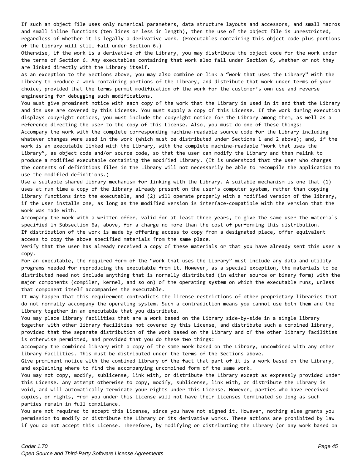If such an object file uses only numerical parameters, data structure layouts and accessors, and small macros and small inline functions (ten lines or less in length), then the use of the object file is unrestricted, regardless of whether it is legally a derivative work. (Executables containing this object code plus portions of the Library will still fall under Section 6.)

Otherwise, if the work is a derivative of the Library, you may distribute the object code for the work under the terms of Section 6. Any executables containing that work also fall under Section 6, whether or not they are linked directly with the Library itself.

As an exception to the Sections above, you may also combine or link a "work that uses the Library" with the Library to produce a work containing portions of the Library, and distribute that work under terms of your choice, provided that the terms permit modification of the work for the customer's own use and reverse engineering for debugging such modifications.

You must give prominent notice with each copy of the work that the Library is used in it and that the Library and its use are covered by this License. You must supply a copy of this License. If the work during execution displays copyright notices, you must include the copyright notice for the Library among them, as well as a reference directing the user to the copy of this License. Also, you must do one of these things: Accompany the work with the complete corresponding machine-readable source code for the Library including whatever changes were used in the work (which must be distributed under Sections 1 and 2 above); and, if the work is an executable linked with the Library, with the complete machine-readable "work that uses the Library", as object code and/or source code, so that the user can modify the Library and then relink to produce a modified executable containing the modified Library. (It is understood that the user who changes the contents of definitions files in the Library will not necessarily be able to recompile the application to use the modified definitions.)

Use a suitable shared library mechanism for linking with the Library. A suitable mechanism is one that (1) uses at run time a copy of the library already present on the user's computer system, rather than copying library functions into the executable, and (2) will operate properly with a modified version of the library, if the user installs one, as long as the modified version is interface-compatible with the version that the work was made with.

Accompany the work with a written offer, valid for at least three years, to give the same user the materials specified in Subsection 6a, above, for a charge no more than the cost of performing this distribution. If distribution of the work is made by offering access to copy from a designated place, offer equivalent access to copy the above specified materials from the same place.

Verify that the user has already received a copy of these materials or that you have already sent this user a copy.

For an executable, the required form of the "work that uses the Library" must include any data and utility programs needed for reproducing the executable from it. However, as a special exception, the materials to be distributed need not include anything that is normally distributed (in either source or binary form) with the major components (compiler, kernel, and so on) of the operating system on which the executable runs, unless that component itself accompanies the executable.

It may happen that this requirement contradicts the license restrictions of other proprietary libraries that do not normally accompany the operating system. Such a contradiction means you cannot use both them and the Library together in an executable that you distribute.

You may place library facilities that are a work based on the Library side-by-side in a single library together with other library facilities not covered by this License, and distribute such a combined library, provided that the separate distribution of the work based on the Library and of the other library facilities is otherwise permitted, and provided that you do these two things:

Accompany the combined library with a copy of the same work based on the Library, uncombined with any other library facilities. This must be distributed under the terms of the Sections above.

Give prominent notice with the combined library of the fact that part of it is a work based on the Library, and explaining where to find the accompanying uncombined form of the same work.

You may not copy, modify, sublicense, link with, or distribute the Library except as expressly provided under this License. Any attempt otherwise to copy, modify, sublicense, link with, or distribute the Library is void, and will automatically terminate your rights under this License. However, parties who have received copies, or rights, from you under this License will not have their licenses terminated so long as such parties remain in full compliance.

You are not required to accept this License, since you have not signed it. However, nothing else grants you permission to modify or distribute the Library or its derivative works. These actions are prohibited by law if you do not accept this License. Therefore, by modifying or distributing the Library (or any work based on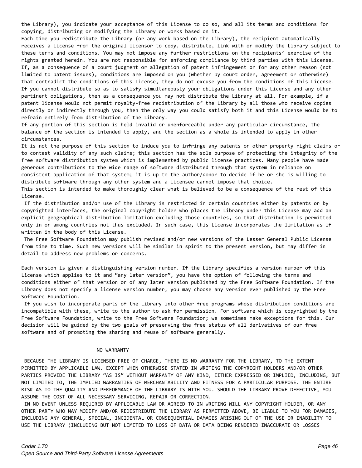the Library), you indicate your acceptance of this License to do so, and all its terms and conditions for copying, distributing or modifying the Library or works based on it.

Each time you redistribute the Library (or any work based on the Library), the recipient automatically receives a license from the original licensor to copy, distribute, link with or modify the Library subject to these terms and conditions. You may not impose any further restrictions on the recipients' exercise of the rights granted herein. You are not responsible for enforcing compliance by third parties with this License. If, as a consequence of a court judgment or allegation of patent infringement or for any other reason (not limited to patent issues), conditions are imposed on you (whether by court order, agreement or otherwise) that contradict the conditions of this License, they do not excuse you from the conditions of this License. If you cannot distribute so as to satisfy simultaneously your obligations under this License and any other pertinent obligations, then as a consequence you may not distribute the Library at all. For example, if a patent license would not permit royalty-free redistribution of the Library by all those who receive copies directly or indirectly through you, then the only way you could satisfy both it and this License would be to refrain entirely from distribution of the Library.

If any portion of this section is held invalid or unenforceable under any particular circumstance, the balance of the section is intended to apply, and the section as a whole is intended to apply in other circumstances.

It is not the purpose of this section to induce you to infringe any patents or other property right claims or to contest validity of any such claims; this section has the sole purpose of protecting the integrity of the free software distribution system which is implemented by public license practices. Many people have made generous contributions to the wide range of software distributed through that system in reliance on consistent application of that system; it is up to the author/donor to decide if he or she is willing to distribute software through any other system and a licensee cannot impose that choice.

This section is intended to make thoroughly clear what is believed to be a consequence of the rest of this License.

If the distribution and/or use of the Library is restricted in certain countries either by patents or by copyrighted interfaces, the original copyright holder who places the Library under this License may add an explicit geographical distribution limitation excluding those countries, so that distribution is permitted only in or among countries not thus excluded. In such case, this License incorporates the limitation as if written in the body of this License.

The Free Software Foundation may publish revised and/or new versions of the Lesser General Public License from time to time. Such new versions will be similar in spirit to the present version, but may differ in detail to address new problems or concerns.

Each version is given a distinguishing version number. If the Library specifies a version number of this License which applies to it and "any later version", you have the option of following the terms and conditions either of that version or of any later version published by the Free Software Foundation. If the Library does not specify a license version number, you may choose any version ever published by the Free Software Foundation.

If you wish to incorporate parts of the Library into other free programs whose distribution conditions are incompatible with these, write to the author to ask for permission. For software which is copyrighted by the Free Software Foundation, write to the Free Software Foundation; we sometimes make exceptions for this. Our decision will be guided by the two goals of preserving the free status of all derivatives of our free software and of promoting the sharing and reuse of software generally.

#### NO WARRANTY

BECAUSE THE LIBRARY IS LICENSED FREE OF CHARGE, THERE IS NO WARRANTY FOR THE LIBRARY, TO THE EXTENT PERMITTED BY APPLICABLE LAW. EXCEPT WHEN OTHERWISE STATED IN WRITING THE COPYRIGHT HOLDERS AND/OR OTHER PARTIES PROVIDE THE LIBRARY "AS IS" WITHOUT WARRANTY OF ANY KIND, EITHER EXPRESSED OR IMPLIED, INCLUDING, BUT NOT LIMITED TO, THE IMPLIED WARRANTIES OF MERCHANTABILITY AND FITNESS FOR A PARTICULAR PURPOSE. THE ENTIRE RISK AS TO THE QUALITY AND PERFORMANCE OF THE LIBRARY IS WITH YOU. SHOULD THE LIBRARY PROVE DEFECTIVE, YOU ASSUME THE COST OF ALL NECESSARY SERVICING, REPAIR OR CORRECTION.

IN NO EVENT UNLESS REQUIRED BY APPLICABLE LAW OR AGREED TO IN WRITING WILL ANY COPYRIGHT HOLDER, OR ANY OTHER PARTY WHO MAY MODIFY AND/OR REDISTRIBUTE THE LIBRARY AS PERMITTED ABOVE, BE LIABLE TO YOU FOR DAMAGES, INCLUDING ANY GENERAL, SPECIAL, INCIDENTAL OR CONSEQUENTIAL DAMAGES ARISING OUT OF THE USE OR INABILITY TO USE THE LIBRARY (INCLUDING BUT NOT LIMITED TO LOSS OF DATA OR DATA BEING RENDERED INACCURATE OR LOSSES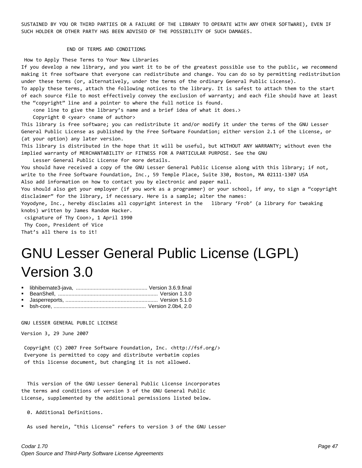SUSTAINED BY YOU OR THIRD PARTIES OR A FAILURE OF THE LIBRARY TO OPERATE WITH ANY OTHER SOFTWARE), EVEN IF SUCH HOLDER OR OTHER PARTY HAS BEEN ADVISED OF THE POSSIBILITY OF SUCH DAMAGES.

#### END OF TERMS AND CONDITIONS

How to Apply These Terms to Your New Libraries

If you develop a new library, and you want it to be of the greatest possible use to the public, we recommend making it free software that everyone can redistribute and change. You can do so by permitting redistribution under these terms (or, alternatively, under the terms of the ordinary General Public License).

To apply these terms, attach the following notices to the library. It is safest to attach them to the start of each source file to most effectively convey the exclusion of warranty; and each file should have at least the "copyright" line and a pointer to where the full notice is found.

<one line to give the library's name and a brief idea of what it does.>

Copyright © <year> <name of author>

This library is free software; you can redistribute it and/or modify it under the terms of the GNU Lesser General Public License as published by the Free Software Foundation; either version 2.1 of the License, or (at your option) any later version.

This library is distributed in the hope that it will be useful, but WITHOUT ANY WARRANTY; without even the implied warranty of MERCHANTABILITY or FITNESS FOR A PARTICULAR PURPOSE. See the GNU

Lesser General Public License for more details.

You should have received a copy of the GNU Lesser General Public License along with this library; if not, write to the Free Software Foundation, Inc., 59 Temple Place, Suite 330, Boston, MA 02111-1307 USA Also add information on how to contact you by electronic and paper mail.

You should also get your employer (if you work as a programmer) or your school, if any, to sign a "copyright disclaimer" for the library, if necessary. Here is a sample; alter the names:

Yoyodyne, Inc., hereby disclaims all copyright interest in the library 'Frob' (a library for tweaking knobs) written by James Random Hacker.

<signature of Thy Coon>, 1 April 1990 Thy Coon, President of Vice

That's all there is to it!

# <span id="page-46-0"></span>GNU Lesser General Public License (LGPL) Version 3.0

|--|--|--|--|--|

- BeanShell, ................................................................... Version 1.3.0
- Jasperreports, .............................................................. Version 5.1.0
- bsh-core, .............................................................. Version 2.0b4, 2.0

GNU LESSER GENERAL PUBLIC LICENSE

Version 3, 29 June 2007

Copyright (C) 2007 Free Software Foundation, Inc. <http://fsf.org/> Everyone is permitted to copy and distribute verbatim copies of this license document, but changing it is not allowed.

 This version of the GNU Lesser General Public License incorporates the terms and conditions of version 3 of the GNU General Public License, supplemented by the additional permissions listed below.

0. Additional Definitions.

As used herein, "this License" refers to version 3 of the GNU Lesser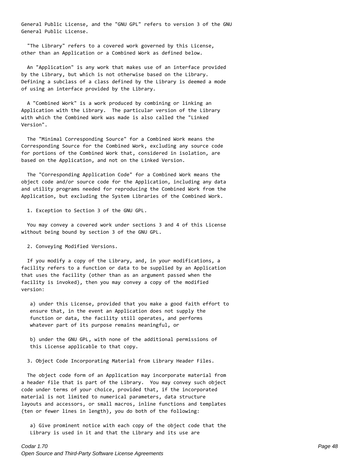General Public License, and the "GNU GPL" refers to version 3 of the GNU General Public License.

 "The Library" refers to a covered work governed by this License, other than an Application or a Combined Work as defined below.

 An "Application" is any work that makes use of an interface provided by the Library, but which is not otherwise based on the Library. Defining a subclass of a class defined by the Library is deemed a mode of using an interface provided by the Library.

 A "Combined Work" is a work produced by combining or linking an Application with the Library. The particular version of the Library with which the Combined Work was made is also called the "Linked Version".

 The "Minimal Corresponding Source" for a Combined Work means the Corresponding Source for the Combined Work, excluding any source code for portions of the Combined Work that, considered in isolation, are based on the Application, and not on the Linked Version.

 The "Corresponding Application Code" for a Combined Work means the object code and/or source code for the Application, including any data and utility programs needed for reproducing the Combined Work from the Application, but excluding the System Libraries of the Combined Work.

1. Exception to Section 3 of the GNU GPL.

 You may convey a covered work under sections 3 and 4 of this License without being bound by section 3 of the GNU GPL.

2. Conveying Modified Versions.

 If you modify a copy of the Library, and, in your modifications, a facility refers to a function or data to be supplied by an Application that uses the facility (other than as an argument passed when the facility is invoked), then you may convey a copy of the modified version:

 a) under this License, provided that you make a good faith effort to ensure that, in the event an Application does not supply the function or data, the facility still operates, and performs whatever part of its purpose remains meaningful, or

 b) under the GNU GPL, with none of the additional permissions of this License applicable to that copy.

3. Object Code Incorporating Material from Library Header Files.

 The object code form of an Application may incorporate material from a header file that is part of the Library. You may convey such object code under terms of your choice, provided that, if the incorporated material is not limited to numerical parameters, data structure layouts and accessors, or small macros, inline functions and templates (ten or fewer lines in length), you do both of the following:

 a) Give prominent notice with each copy of the object code that the Library is used in it and that the Library and its use are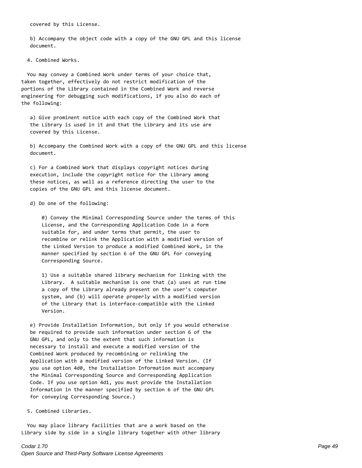covered by this License.

 b) Accompany the object code with a copy of the GNU GPL and this license document.

4. Combined Works.

You may convey a Combined Work under terms of your choice that, taken together, effectively do not restrict modification of the portions of the Library contained in the Combined Work and reverse engineering for debugging such modifications, if you also do each of the following:

 a) Give prominent notice with each copy of the Combined Work that the Library is used in it and that the Library and its use are covered by this License.

 b) Accompany the Combined Work with a copy of the GNU GPL and this license document.

 c) For a Combined Work that displays copyright notices during execution, include the copyright notice for the Library among these notices, as well as a reference directing the user to the copies of the GNU GPL and this license document.

d) Do one of the following:

 0) Convey the Minimal Corresponding Source under the terms of this License, and the Corresponding Application Code in a form suitable for, and under terms that permit, the user to recombine or relink the Application with a modified version of the Linked Version to produce a modified Combined Work, in the manner specified by section 6 of the GNU GPL for conveying Corresponding Source.

 1) Use a suitable shared library mechanism for linking with the Library. A suitable mechanism is one that (a) uses at run time a copy of the Library already present on the user's computer system, and (b) will operate properly with a modified version of the Library that is interface-compatible with the Linked Version.

 e) Provide Installation Information, but only if you would otherwise be required to provide such information under section 6 of the GNU GPL, and only to the extent that such information is necessary to install and execute a modified version of the Combined Work produced by recombining or relinking the Application with a modified version of the Linked Version. (If you use option 4d0, the Installation Information must accompany the Minimal Corresponding Source and Corresponding Application Code. If you use option 4d1, you must provide the Installation Information in the manner specified by section 6 of the GNU GPL for conveying Corresponding Source.)

5. Combined Libraries.

 You may place library facilities that are a work based on the Library side by side in a single library together with other library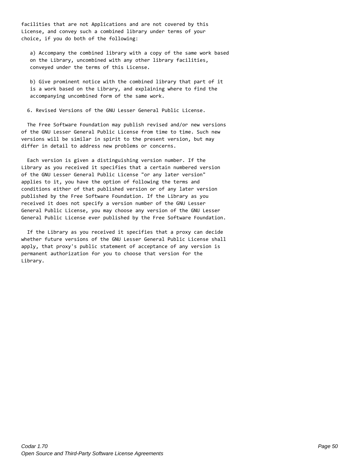facilities that are not Applications and are not covered by this License, and convey such a combined library under terms of your choice, if you do both of the following:

 a) Accompany the combined library with a copy of the same work based on the Library, uncombined with any other library facilities, conveyed under the terms of this License.

 b) Give prominent notice with the combined library that part of it is a work based on the Library, and explaining where to find the accompanying uncombined form of the same work.

6. Revised Versions of the GNU Lesser General Public License.

 The Free Software Foundation may publish revised and/or new versions of the GNU Lesser General Public License from time to time. Such new versions will be similar in spirit to the present version, but may differ in detail to address new problems or concerns.

 Each version is given a distinguishing version number. If the Library as you received it specifies that a certain numbered version of the GNU Lesser General Public License "or any later version" applies to it, you have the option of following the terms and conditions either of that published version or of any later version published by the Free Software Foundation. If the Library as you received it does not specify a version number of the GNU Lesser General Public License, you may choose any version of the GNU Lesser General Public License ever published by the Free Software Foundation.

 If the Library as you received it specifies that a proxy can decide whether future versions of the GNU Lesser General Public License shall apply, that proxy's public statement of acceptance of any version is permanent authorization for you to choose that version for the Library.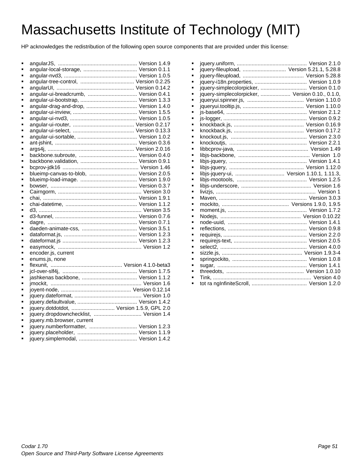# <span id="page-50-0"></span>Massachusetts Institute of Technology (MIT)

HP acknowledges the redistribution of the following open source components that are provided under this license:

| П              |                                           |  |
|----------------|-------------------------------------------|--|
| $\blacksquare$ |                                           |  |
| $\blacksquare$ |                                           |  |
| ٠              |                                           |  |
| $\blacksquare$ |                                           |  |
| ٠              | angular-ui-breadcrumb,  Version 0.4.1     |  |
| $\blacksquare$ |                                           |  |
| ٠              | angular-drag-and-drop,  Version 1.4.0     |  |
| ٠              |                                           |  |
| $\blacksquare$ |                                           |  |
|                |                                           |  |
| $\blacksquare$ |                                           |  |
| ٠              |                                           |  |
| $\blacksquare$ |                                           |  |
| $\blacksquare$ |                                           |  |
| ٠              |                                           |  |
| $\blacksquare$ |                                           |  |
| ٠              |                                           |  |
| $\blacksquare$ | blueimp-canvas-to-blob,  Version 2.0.5    |  |
| $\blacksquare$ |                                           |  |
| $\blacksquare$ |                                           |  |
| $\blacksquare$ |                                           |  |
| ٠              |                                           |  |
| $\blacksquare$ |                                           |  |
| $\blacksquare$ |                                           |  |
| $\blacksquare$ |                                           |  |
| $\blacksquare$ |                                           |  |
| ٠              |                                           |  |
| $\blacksquare$ |                                           |  |
| $\blacksquare$ |                                           |  |
| $\blacksquare$ |                                           |  |
| $\blacksquare$ | encoder.js, current                       |  |
| ٠              | enums.js, none                            |  |
| ٠              |                                           |  |
| $\blacksquare$ |                                           |  |
| $\blacksquare$ |                                           |  |
| П              |                                           |  |
| $\blacksquare$ |                                           |  |
| $\blacksquare$ |                                           |  |
| $\blacksquare$ |                                           |  |
| $\blacksquare$ | jquery.dotdotdot,  Version 1.5.9, GPL 2.0 |  |
| ٠              | jquery.dropdownchecklist,  Version 1.4    |  |
| $\blacksquare$ | jquery.mb.browser, current                |  |
| ٠              | jquery.numberformatter,  Version 1.2.3    |  |
| ٠              |                                           |  |
| $\blacksquare$ |                                           |  |

| jquery-fileupload,  Version 5.21.1, 5.28.8       |  |
|--------------------------------------------------|--|
|                                                  |  |
|                                                  |  |
| jquery-simplecolorpicker,  Version 0.1.0         |  |
| jquery-simplecolorpicker,  Version 0.10., 0.1.0, |  |
|                                                  |  |
|                                                  |  |
|                                                  |  |
|                                                  |  |
|                                                  |  |
|                                                  |  |
|                                                  |  |
|                                                  |  |
|                                                  |  |
|                                                  |  |
|                                                  |  |
|                                                  |  |
| libjs-jquery-ui,  Version 1.10.1, 1.11.3,        |  |
|                                                  |  |
|                                                  |  |
|                                                  |  |
|                                                  |  |
|                                                  |  |
|                                                  |  |
|                                                  |  |
|                                                  |  |
|                                                  |  |
|                                                  |  |
|                                                  |  |
|                                                  |  |
|                                                  |  |
|                                                  |  |
|                                                  |  |
|                                                  |  |
|                                                  |  |
|                                                  |  |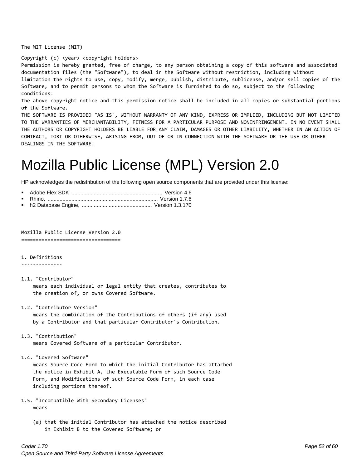The MIT License (MIT)

Copyright (c) <year> <copyright holders>

Permission is hereby granted, free of charge, to any person obtaining a copy of this software and associated documentation files (the "Software"), to deal in the Software without restriction, including without limitation the rights to use, copy, modify, merge, publish, distribute, sublicense, and/or sell copies of the Software, and to permit persons to whom the Software is furnished to do so, subject to the following conditions:

The above copyright notice and this permission notice shall be included in all copies or substantial portions of the Software.

THE SOFTWARE IS PROVIDED "AS IS", WITHOUT WARRANTY OF ANY KIND, EXPRESS OR IMPLIED, INCLUDING BUT NOT LIMITED TO THE WARRANTIES OF MERCHANTABILITY, FITNESS FOR A PARTICULAR PURPOSE AND NONINFRINGEMENT. IN NO EVENT SHALL THE AUTHORS OR COPYRIGHT HOLDERS BE LIABLE FOR ANY CLAIM, DAMAGES OR OTHER LIABILITY, WHETHER IN AN ACTION OF CONTRACT, TORT OR OTHERWISE, ARISING FROM, OUT OF OR IN CONNECTION WITH THE SOFTWARE OR THE USE OR OTHER DEALINGS IN THE SOFTWARE.

### <span id="page-51-0"></span>Mozilla Public License (MPL) Version 2.0

HP acknowledges the redistribution of the following open source components that are provided under this license:

- Adobe Flex SDK ............................................................. Version 4.6
- Rhino, .......................................................................... Version 1.7.6
- h2 Database Engine, ............................................... Version 1.3.170

### Mozilla Public License Version 2.0

==================================

1. Definitions

#### --------------

1.1. "Contributor"

 means each individual or legal entity that creates, contributes to the creation of, or owns Covered Software.

1.2. "Contributor Version"

 means the combination of the Contributions of others (if any) used by a Contributor and that particular Contributor's Contribution.

1.3. "Contribution"

means Covered Software of a particular Contributor.

1.4. "Covered Software"

 means Source Code Form to which the initial Contributor has attached the notice in Exhibit A, the Executable Form of such Source Code Form, and Modifications of such Source Code Form, in each case including portions thereof.

- 1.5. "Incompatible With Secondary Licenses" means
	- (a) that the initial Contributor has attached the notice described in Exhibit B to the Covered Software; or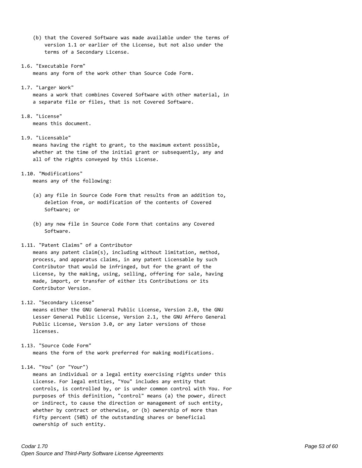- (b) that the Covered Software was made available under the terms of version 1.1 or earlier of the License, but not also under the terms of a Secondary License.
- 1.6. "Executable Form"

means any form of the work other than Source Code Form.

1.7. "Larger Work"

 means a work that combines Covered Software with other material, in a separate file or files, that is not Covered Software.

1.8. "License"

means this document.

1.9. "Licensable"

 means having the right to grant, to the maximum extent possible, whether at the time of the initial grant or subsequently, any and all of the rights conveyed by this License.

#### 1.10. "Modifications"

means any of the following:

- (a) any file in Source Code Form that results from an addition to, deletion from, or modification of the contents of Covered Software; or
- (b) any new file in Source Code Form that contains any Covered Software.

#### 1.11. "Patent Claims" of a Contributor

 means any patent claim(s), including without limitation, method, process, and apparatus claims, in any patent Licensable by such Contributor that would be infringed, but for the grant of the License, by the making, using, selling, offering for sale, having made, import, or transfer of either its Contributions or its Contributor Version.

#### 1.12. "Secondary License"

 means either the GNU General Public License, Version 2.0, the GNU Lesser General Public License, Version 2.1, the GNU Affero General Public License, Version 3.0, or any later versions of those licenses.

- 1.13. "Source Code Form" means the form of the work preferred for making modifications.
- 1.14. "You" (or "Your")

 means an individual or a legal entity exercising rights under this License. For legal entities, "You" includes any entity that controls, is controlled by, or is under common control with You. For purposes of this definition, "control" means (a) the power, direct or indirect, to cause the direction or management of such entity, whether by contract or otherwise, or (b) ownership of more than fifty percent (50%) of the outstanding shares or beneficial ownership of such entity.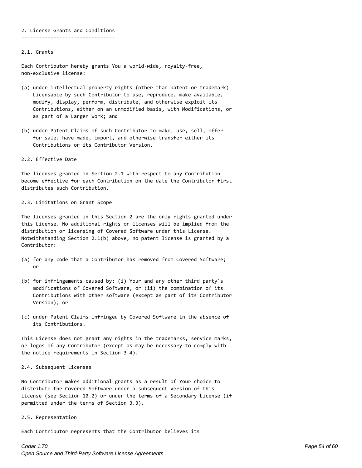#### 2. License Grants and Conditions

--------------------------------

#### 2.1. Grants

Each Contributor hereby grants You a world-wide, royalty-free, non-exclusive license:

- (a) under intellectual property rights (other than patent or trademark) Licensable by such Contributor to use, reproduce, make available, modify, display, perform, distribute, and otherwise exploit its Contributions, either on an unmodified basis, with Modifications, or as part of a Larger Work; and
- (b) under Patent Claims of such Contributor to make, use, sell, offer for sale, have made, import, and otherwise transfer either its Contributions or its Contributor Version.

2.2. Effective Date

The licenses granted in Section 2.1 with respect to any Contribution become effective for each Contribution on the date the Contributor first distributes such Contribution.

#### 2.3. Limitations on Grant Scope

The licenses granted in this Section 2 are the only rights granted under this License. No additional rights or licenses will be implied from the distribution or licensing of Covered Software under this License. Notwithstanding Section 2.1(b) above, no patent license is granted by a Contributor:

- (a) for any code that a Contributor has removed from Covered Software; or
- (b) for infringements caused by: (i) Your and any other third party's modifications of Covered Software, or (ii) the combination of its Contributions with other software (except as part of its Contributor Version); or
- (c) under Patent Claims infringed by Covered Software in the absence of its Contributions.

This License does not grant any rights in the trademarks, service marks, or logos of any Contributor (except as may be necessary to comply with the notice requirements in Section 3.4).

#### 2.4. Subsequent Licenses

No Contributor makes additional grants as a result of Your choice to distribute the Covered Software under a subsequent version of this License (see Section 10.2) or under the terms of a Secondary License (if permitted under the terms of Section 3.3).

#### 2.5. Representation

Each Contributor represents that the Contributor believes its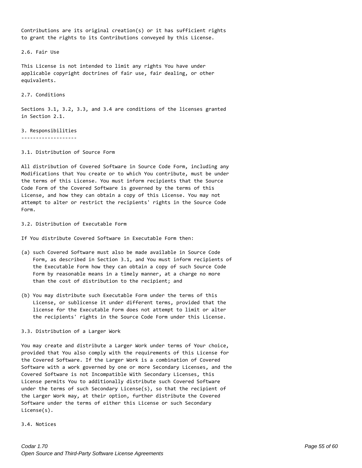Contributions are its original creation(s) or it has sufficient rights to grant the rights to its Contributions conveyed by this License.

2.6. Fair Use

This License is not intended to limit any rights You have under applicable copyright doctrines of fair use, fair dealing, or other equivalents.

2.7. Conditions

Sections 3.1, 3.2, 3.3, and 3.4 are conditions of the licenses granted in Section 2.1.

3. Responsibilities -------------------

3.1. Distribution of Source Form

All distribution of Covered Software in Source Code Form, including any Modifications that You create or to which You contribute, must be under the terms of this License. You must inform recipients that the Source Code Form of the Covered Software is governed by the terms of this License, and how they can obtain a copy of this License. You may not attempt to alter or restrict the recipients' rights in the Source Code Form.

3.2. Distribution of Executable Form

If You distribute Covered Software in Executable Form then:

- (a) such Covered Software must also be made available in Source Code Form, as described in Section 3.1, and You must inform recipients of the Executable Form how they can obtain a copy of such Source Code Form by reasonable means in a timely manner, at a charge no more than the cost of distribution to the recipient; and
- (b) You may distribute such Executable Form under the terms of this License, or sublicense it under different terms, provided that the license for the Executable Form does not attempt to limit or alter the recipients' rights in the Source Code Form under this License.

#### 3.3. Distribution of a Larger Work

You may create and distribute a Larger Work under terms of Your choice, provided that You also comply with the requirements of this License for the Covered Software. If the Larger Work is a combination of Covered Software with a work governed by one or more Secondary Licenses, and the Covered Software is not Incompatible With Secondary Licenses, this License permits You to additionally distribute such Covered Software under the terms of such Secondary License(s), so that the recipient of the Larger Work may, at their option, further distribute the Covered Software under the terms of either this License or such Secondary License(s).

3.4. Notices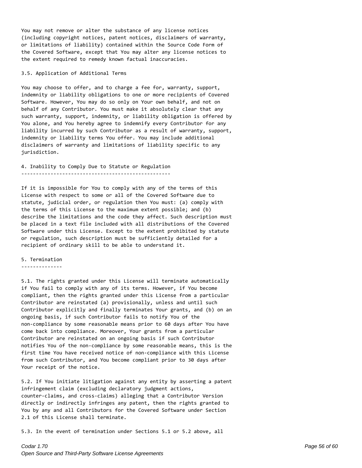You may not remove or alter the substance of any license notices (including copyright notices, patent notices, disclaimers of warranty, or limitations of liability) contained within the Source Code Form of the Covered Software, except that You may alter any license notices to the extent required to remedy known factual inaccuracies.

#### 3.5. Application of Additional Terms

You may choose to offer, and to charge a fee for, warranty, support, indemnity or liability obligations to one or more recipients of Covered Software. However, You may do so only on Your own behalf, and not on behalf of any Contributor. You must make it absolutely clear that any such warranty, support, indemnity, or liability obligation is offered by You alone, and You hereby agree to indemnify every Contributor for any liability incurred by such Contributor as a result of warranty, support, indemnity or liability terms You offer. You may include additional disclaimers of warranty and limitations of liability specific to any jurisdiction.

#### 4. Inability to Comply Due to Statute or Regulation ---------------------------------------------------

If it is impossible for You to comply with any of the terms of this License with respect to some or all of the Covered Software due to statute, judicial order, or regulation then You must: (a) comply with the terms of this License to the maximum extent possible; and (b) describe the limitations and the code they affect. Such description must be placed in a text file included with all distributions of the Covered Software under this License. Except to the extent prohibited by statute or regulation, such description must be sufficiently detailed for a recipient of ordinary skill to be able to understand it.

#### 5. Termination

--------------

5.1. The rights granted under this License will terminate automatically if You fail to comply with any of its terms. However, if You become compliant, then the rights granted under this License from a particular Contributor are reinstated (a) provisionally, unless and until such Contributor explicitly and finally terminates Your grants, and (b) on an ongoing basis, if such Contributor fails to notify You of the non-compliance by some reasonable means prior to 60 days after You have come back into compliance. Moreover, Your grants from a particular Contributor are reinstated on an ongoing basis if such Contributor notifies You of the non-compliance by some reasonable means, this is the first time You have received notice of non-compliance with this License from such Contributor, and You become compliant prior to 30 days after Your receipt of the notice.

5.2. If You initiate litigation against any entity by asserting a patent infringement claim (excluding declaratory judgment actions, counter-claims, and cross-claims) alleging that a Contributor Version directly or indirectly infringes any patent, then the rights granted to You by any and all Contributors for the Covered Software under Section 2.1 of this License shall terminate.

5.3. In the event of termination under Sections 5.1 or 5.2 above, all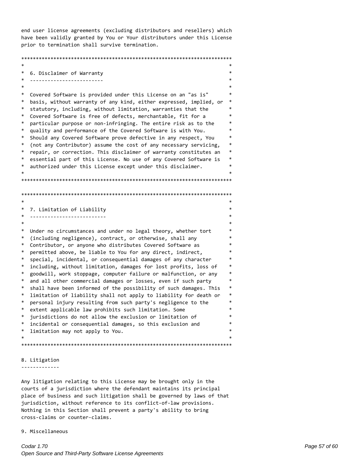end user license agreements (excluding distributors and resellers) which have been validly granted by You or Your distributors under this License prior to termination shall survive termination.

| $\ast$ |                                                                    |         |  |  |
|--------|--------------------------------------------------------------------|---------|--|--|
| $\ast$ | 6. Disclaimer of Warranty                                          | $\ast$  |  |  |
| $\ast$ |                                                                    |         |  |  |
|        |                                                                    |         |  |  |
| $\ast$ | Covered Software is provided under this License on an "as is"      | $\ast$  |  |  |
| $\ast$ | basis, without warranty of any kind, either expressed, implied, or | $\ast$  |  |  |
| $\ast$ | statutory, including, without limitation, warranties that the      | $\ast$  |  |  |
| $\ast$ | Covered Software is free of defects, merchantable, fit for a       | $\ast$  |  |  |
| $\ast$ | particular purpose or non-infringing. The entire risk as to the    | $\star$ |  |  |
| $\ast$ | quality and performance of the Covered Software is with You.       | ÷       |  |  |
| $\ast$ | Should any Covered Software prove defective in any respect, You    | $\star$ |  |  |
| $\ast$ | (not any Contributor) assume the cost of any necessary servicing,  | $\star$ |  |  |
| $\ast$ | repair, or correction. This disclaimer of warranty constitutes an  | $\ast$  |  |  |
| $\ast$ | essential part of this License. No use of any Covered Software is  | $\star$ |  |  |
| $\ast$ | authorized under this License except under this disclaimer.        |         |  |  |
|        |                                                                    |         |  |  |
|        |                                                                    |         |  |  |
|        |                                                                    |         |  |  |
| $\ast$ |                                                                    |         |  |  |
| $\ast$ |                                                                    |         |  |  |
| $\ast$ | 7. Limitation of Liability<br>---------------------------          |         |  |  |
|        |                                                                    |         |  |  |
| $\ast$ | Under no circumstances and under no legal theory, whether tort     | $\star$ |  |  |
| $\ast$ | (including negligence), contract, or otherwise, shall any          |         |  |  |
| $\ast$ | Contributor, or anyone who distributes Covered Software as         | $\star$ |  |  |
| $\ast$ | permitted above, be liable to You for any direct, indirect,        | $\ast$  |  |  |
| $\ast$ | special, incidental, or consequential damages of any character     | $\star$ |  |  |
| $\ast$ | including, without limitation, damages for lost profits, loss of   | $\star$ |  |  |
| $\ast$ | goodwill, work stoppage, computer failure or malfunction, or any   | $\ast$  |  |  |
| $\ast$ | and all other commercial damages or losses, even if such party     | $\ast$  |  |  |
| $\ast$ | shall have been informed of the possibility of such damages. This  | $\ast$  |  |  |
| $\ast$ | limitation of liability shall not apply to liability for death or  | $\ast$  |  |  |
| $\ast$ | personal injury resulting from such party's negligence to the      | $\ast$  |  |  |
| $\ast$ | extent applicable law prohibits such limitation. Some              |         |  |  |
| $\ast$ | jurisdictions do not allow the exclusion or limitation of          |         |  |  |
| $\ast$ | incidental or consequential damages, so this exclusion and         |         |  |  |
| $\ast$ | limitation may not apply to You.                                   | $\star$ |  |  |
|        |                                                                    |         |  |  |
|        |                                                                    |         |  |  |

#### 8. Litigation

-------------

Any litigation relating to this License may be brought only in the courts of a jurisdiction where the defendant maintains its principal place of business and such litigation shall be governed by laws of that jurisdiction, without reference to its conflict-of-law provisions. Nothing in this Section shall prevent a party's ability to bring cross-claims or counter-claims.

#### 9. Miscellaneous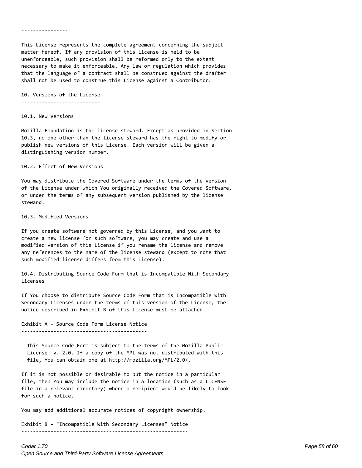----------------

This License represents the complete agreement concerning the subject matter hereof. If any provision of this License is held to be unenforceable, such provision shall be reformed only to the extent necessary to make it enforceable. Any law or regulation which provides that the language of a contract shall be construed against the drafter shall not be used to construe this License against a Contributor.

10. Versions of the License ---------------------------

10.1. New Versions

Mozilla Foundation is the license steward. Except as provided in Section 10.3, no one other than the license steward has the right to modify or publish new versions of this License. Each version will be given a distinguishing version number.

10.2. Effect of New Versions

You may distribute the Covered Software under the terms of the version of the License under which You originally received the Covered Software, or under the terms of any subsequent version published by the license steward.

10.3. Modified Versions

If you create software not governed by this License, and you want to create a new license for such software, you may create and use a modified version of this License if you rename the license and remove any references to the name of the license steward (except to note that such modified license differs from this License).

10.4. Distributing Source Code Form that is Incompatible With Secondary Licenses

If You choose to distribute Source Code Form that is Incompatible With Secondary Licenses under the terms of this version of the License, the notice described in Exhibit B of this License must be attached.

Exhibit A - Source Code Form License Notice -------------------------------------------

 This Source Code Form is subject to the terms of the Mozilla Public License, v. 2.0. If a copy of the MPL was not distributed with this file, You can obtain one at http://mozilla.org/MPL/2.0/.

If it is not possible or desirable to put the notice in a particular file, then You may include the notice in a location (such as a LICENSE file in a relevant directory) where a recipient would be likely to look for such a notice.

You may add additional accurate notices of copyright ownership.

Exhibit B - "Incompatible With Secondary Licenses" Notice ---------------------------------------------------------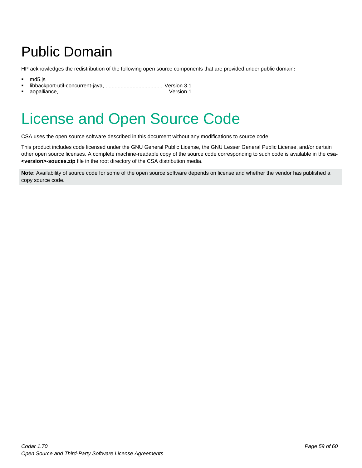# <span id="page-58-0"></span>Public Domain

HP acknowledges the redistribution of the following open source components that are provided under public domain:

- md5.js
- libbackport-util-concurrent-java, ...................................... Version 3.1
- aopalliance, ....................................................................... Version 1

# <span id="page-58-1"></span>License and Open Source Code

CSA uses the open source software described in this document without any modifications to source code.

This product includes code licensed under the GNU General Public License, the GNU Lesser General Public License, and/or certain other open source licenses. A complete machine-readable copy of the source code corresponding to such code is available in the **csa- <version>-souces.zip** file in the root directory of the CSA distribution media.

**Note**: Availability of source code for some of the open source software depends on license and whether the vendor has published a copy source code.